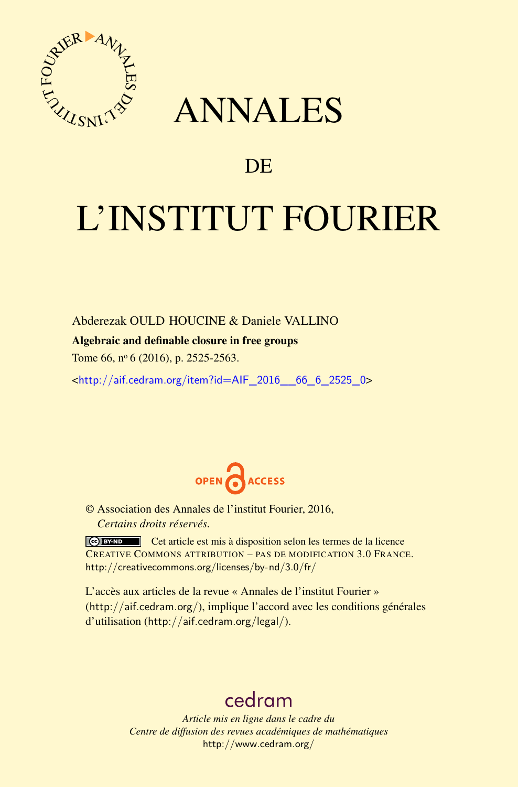

## ANNALES

### **DE**

# L'INSTITUT FOURIER

Abderezak OULD HOUCINE & Daniele VALLINO

#### Algebraic and definable closure in free groups

Tome 66, nº 6 (2016), p. 2525-2563.

 $\kappa$ http://aif.cedram.org/item?id=AIF 2016 66 6 2525 0>



© Association des Annales de l'institut Fourier, 2016, *Certains droits réservés.*

Cet article est mis à disposition selon les termes de la licence CREATIVE COMMONS ATTRIBUTION – PAS DE MODIFICATION 3.0 FRANCE. <http://creativecommons.org/licenses/by-nd/3.0/fr/>

L'accès aux articles de la revue « Annales de l'institut Fourier » (<http://aif.cedram.org/>), implique l'accord avec les conditions générales d'utilisation (<http://aif.cedram.org/legal/>).

## [cedram](http://www.cedram.org/)

*Article mis en ligne dans le cadre du Centre de diffusion des revues académiques de mathématiques* <http://www.cedram.org/>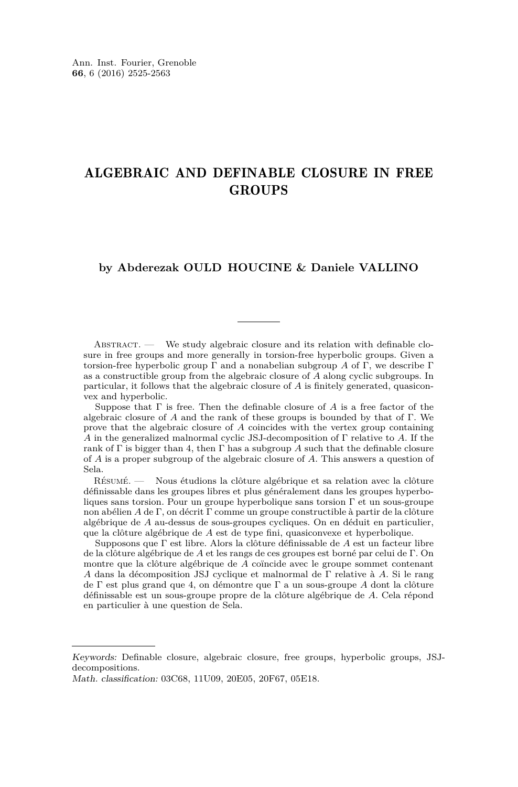#### ALGEBRAIC AND DEFINABLE CLOSURE IN FREE **GROUPS**

#### **by Abderezak OULD HOUCINE & Daniele VALLINO**

ABSTRACT. — We study algebraic closure and its relation with definable closure in free groups and more generally in torsion-free hyperbolic groups. Given a torsion-free hyperbolic group Γ and a nonabelian subgroup *A* of Γ, we describe Γ as a constructible group from the algebraic closure of *A* along cyclic subgroups. In particular, it follows that the algebraic closure of *A* is finitely generated, quasiconvex and hyperbolic.

Suppose that Γ is free. Then the definable closure of *A* is a free factor of the algebraic closure of *A* and the rank of these groups is bounded by that of Γ. We prove that the algebraic closure of *A* coincides with the vertex group containing *A* in the generalized malnormal cyclic JSJ-decomposition of Γ relative to *A*. If the rank of  $\Gamma$  is bigger than 4, then  $\Gamma$  has a subgroup A such that the definable closure of *A* is a proper subgroup of the algebraic closure of *A*. This answers a question of Sela.

Résumé. — Nous étudions la clôture algébrique et sa relation avec la clôture définissable dans les groupes libres et plus généralement dans les groupes hyperboliques sans torsion. Pour un groupe hyperbolique sans torsion Γ et un sous-groupe non abélien *A* de Γ, on décrit Γ comme un groupe constructible à partir de la clôture algébrique de *A* au-dessus de sous-groupes cycliques. On en déduit en particulier, que la clôture algébrique de *A* est de type fini, quasiconvexe et hyperbolique.

Supposons que Γ est libre. Alors la clôture définissable de *A* est un facteur libre de la clôture algébrique de *A* et les rangs de ces groupes est borné par celui de Γ. On montre que la clôture algébrique de *A* coïncide avec le groupe sommet contenant *A* dans la décomposition JSJ cyclique et malnormal de Γ relative à *A*. Si le rang de Γ est plus grand que 4, on démontre que Γ a un sous-groupe *A* dont la clôture définissable est un sous-groupe propre de la clôture algébrique de *A*. Cela répond en particulier à une question de Sela.

Keywords: Definable closure, algebraic closure, free groups, hyperbolic groups, JSJdecompositions.

Math. classification: 03C68, 11U09, 20E05, 20F67, 05E18.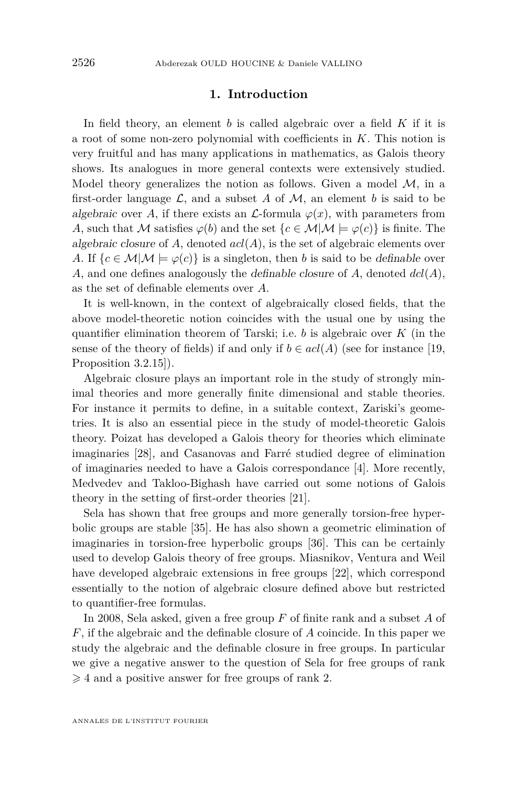#### **1. Introduction**

In field theory, an element *b* is called algebraic over a field *K* if it is a root of some non-zero polynomial with coefficients in *K*. This notion is very fruitful and has many applications in mathematics, as Galois theory shows. Its analogues in more general contexts were extensively studied. Model theory generalizes the notion as follows. Given a model  $\mathcal{M}$ , in a first-order language  $\mathcal{L}$ , and a subset A of  $\mathcal{M}$ , an element b is said to be algebraic over A, if there exists an  $\mathcal{L}$ -formula  $\varphi(x)$ , with parameters from *A*, such that M satisfies  $\varphi(b)$  and the set  $\{c \in \mathcal{M} | \mathcal{M} \models \varphi(c)\}\$ is finite. The algebraic closure of *A*, denoted *acl*(*A*), is the set of algebraic elements over *A*. If  ${c \in \mathcal{M} | \mathcal{M} \models \varphi(c)}$  is a singleton, then *b* is said to be definable over *A*, and one defines analogously the definable closure of *A*, denoted *dcl*(*A*), as the set of definable elements over *A*.

It is well-known, in the context of algebraically closed fields, that the above model-theoretic notion coincides with the usual one by using the quantifier elimination theorem of Tarski; i.e. *b* is algebraic over *K* (in the sense of the theory of fields) if and only if  $b \in \text{acl}(A)$  (see for instance [\[19,](#page-38-0) Proposition 3.2.15]).

Algebraic closure plays an important role in the study of strongly minimal theories and more generally finite dimensional and stable theories. For instance it permits to define, in a suitable context, Zariski's geometries. It is also an essential piece in the study of model-theoretic Galois theory. Poizat has developed a Galois theory for theories which eliminate imaginaries [\[28\]](#page-38-1), and Casanovas and Farré studied degree of elimination of imaginaries needed to have a Galois correspondance [\[4\]](#page-37-0). More recently, Medvedev and Takloo-Bighash have carried out some notions of Galois theory in the setting of first-order theories [\[21\]](#page-38-2).

Sela has shown that free groups and more generally torsion-free hyperbolic groups are stable [\[35\]](#page-39-0). He has also shown a geometric elimination of imaginaries in torsion-free hyperbolic groups [\[36\]](#page-39-1). This can be certainly used to develop Galois theory of free groups. Miasnikov, Ventura and Weil have developed algebraic extensions in free groups [\[22\]](#page-38-3), which correspond essentially to the notion of algebraic closure defined above but restricted to quantifier-free formulas.

In 2008, Sela asked, given a free group *F* of finite rank and a subset *A* of *F*, if the algebraic and the definable closure of *A* coincide. In this paper we study the algebraic and the definable closure in free groups. In particular we give a negative answer to the question of Sela for free groups of rank  $\geqslant$  4 and a positive answer for free groups of rank 2.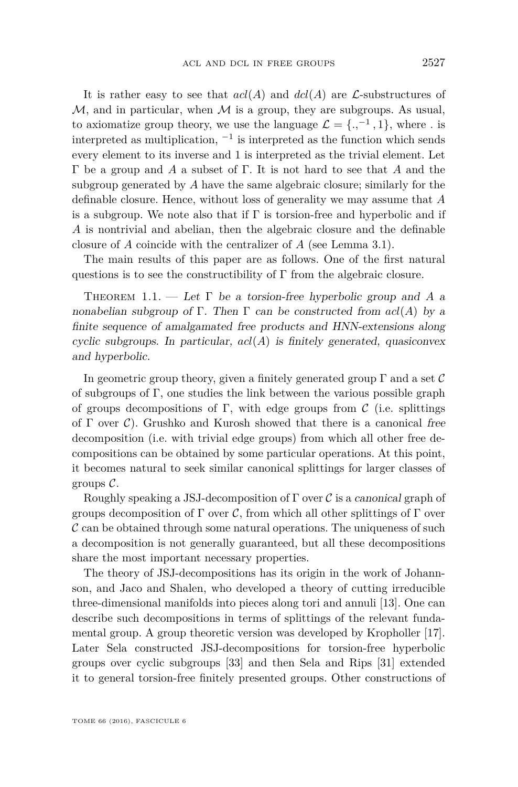It is rather easy to see that  $acl(A)$  and  $dcl(A)$  are  $\mathcal{L}$ -substructures of  $M$ , and in particular, when  $M$  is a group, they are subgroups. As usual, to axiomatize group theory, we use the language  $\mathcal{L} = \{.,^{-1}, 1\}$ , where *.* is interpreted as multiplication,  $^{-1}$  is interpreted as the function which sends every element to its inverse and 1 is interpreted as the trivial element. Let Γ be a group and *A* a subset of Γ. It is not hard to see that *A* and the subgroup generated by *A* have the same algebraic closure; similarly for the definable closure. Hence, without loss of generality we may assume that *A* is a subgroup. We note also that if  $\Gamma$  is torsion-free and hyperbolic and if *A* is nontrivial and abelian, then the algebraic closure and the definable closure of *A* coincide with the centralizer of *A* (see Lemma [3.1\)](#page-17-0).

The main results of this paper are as follows. One of the first natural questions is to see the constructibility of  $\Gamma$  from the algebraic closure.

<span id="page-3-0"></span>THEOREM 1.1. — Let  $\Gamma$  be a torsion-free hyperbolic group and A a nonabelian subgroup of Γ. Then Γ can be constructed from  $acl(A)$  by a finite sequence of amalgamated free products and HNN-extensions along cyclic subgroups. In particular, *acl*(*A*) is finitely generated, quasiconvex and hyperbolic.

In geometric group theory, given a finitely generated group  $\Gamma$  and a set  $\mathcal C$ of subgroups of Γ, one studies the link between the various possible graph of groups decompositions of Γ, with edge groups from  $\mathcal C$  (i.e. splittings of  $\Gamma$  over  $\mathcal{C}$ ). Grushko and Kurosh showed that there is a canonical free decomposition (i.e. with trivial edge groups) from which all other free decompositions can be obtained by some particular operations. At this point, it becomes natural to seek similar canonical splittings for larger classes of groups  $\mathcal{C}$ .

Roughly speaking a JSJ-decomposition of  $\Gamma$  over  $\mathcal C$  is a canonical graph of groups decomposition of  $\Gamma$  over C, from which all other splittings of  $\Gamma$  over  $\mathcal C$  can be obtained through some natural operations. The uniqueness of such a decomposition is not generally guaranteed, but all these decompositions share the most important necessary properties.

The theory of JSJ-decompositions has its origin in the work of Johannson, and Jaco and Shalen, who developed a theory of cutting irreducible three-dimensional manifolds into pieces along tori and annuli [\[13\]](#page-38-4). One can describe such decompositions in terms of splittings of the relevant fundamental group. A group theoretic version was developed by Kropholler [\[17\]](#page-38-5). Later Sela constructed JSJ-decompositions for torsion-free hyperbolic groups over cyclic subgroups [\[33\]](#page-39-2) and then Sela and Rips [\[31\]](#page-39-3) extended it to general torsion-free finitely presented groups. Other constructions of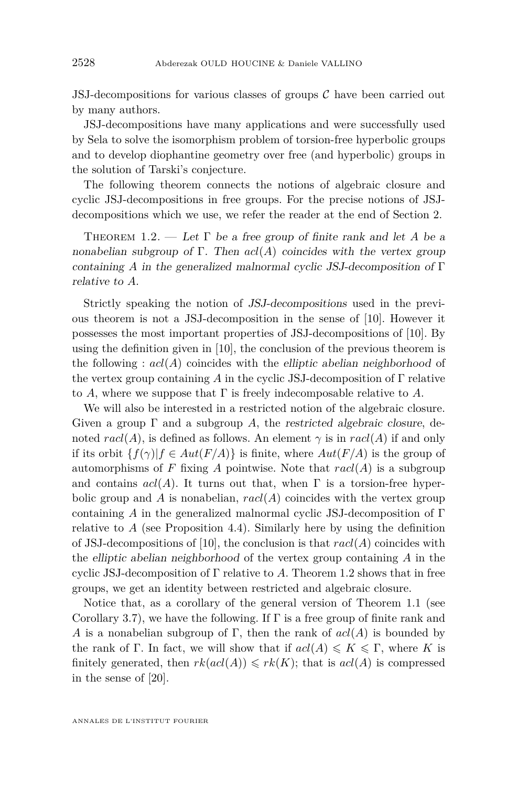JSJ-decompositions for various classes of groups  $\mathcal C$  have been carried out by many authors.

JSJ-decompositions have many applications and were successfully used by Sela to solve the isomorphism problem of torsion-free hyperbolic groups and to develop diophantine geometry over free (and hyperbolic) groups in the solution of Tarski's conjecture.

The following theorem connects the notions of algebraic closure and cyclic JSJ-decompositions in free groups. For the precise notions of JSJdecompositions which we use, we refer the reader at the end of Section [2.](#page-5-0)

<span id="page-4-0"></span>THEOREM 1.2. — Let  $\Gamma$  be a free group of finite rank and let A be a nonabelian subgroup of  $\Gamma$ . Then  $acl(A)$  coincides with the vertex group containing *A* in the generalized malnormal cyclic JSJ-decomposition of Γ relative to *A*.

Strictly speaking the notion of JSJ-decompositions used in the previous theorem is not a JSJ-decomposition in the sense of [\[10\]](#page-38-6). However it possesses the most important properties of JSJ-decompositions of [\[10\]](#page-38-6). By using the definition given in [\[10\]](#page-38-6), the conclusion of the previous theorem is the following :  $acl(A)$  coincides with the elliptic abelian neighborhood of the vertex group containing *A* in the cyclic JSJ-decomposition of Γ relative to *A*, where we suppose that  $\Gamma$  is freely indecomposable relative to *A*.

We will also be interested in a restricted notion of the algebraic closure. Given a group  $\Gamma$  and a subgroup A, the restricted algebraic closure, denoted  $\text{rad}(A)$ , is defined as follows. An element  $\gamma$  is in  $\text{rad}(A)$  if and only if its orbit  $\{f(\gamma) | f \in Aut(F/A)\}$  is finite, where  $Aut(F/A)$  is the group of automorphisms of  $F$  fixing  $A$  pointwise. Note that  $\mathit{rac1}(A)$  is a subgroup and contains  $acl(A)$ . It turns out that, when  $\Gamma$  is a torsion-free hyperbolic group and *A* is nonabelian,  $racl(A)$  coincides with the vertex group containing *A* in the generalized malnormal cyclic JSJ-decomposition of Γ relative to  $A$  (see Proposition [4.4\)](#page-30-0). Similarly here by using the definition of JSJ-decompositions of [\[10\]](#page-38-6), the conclusion is that *racl*(*A*) coincides with the elliptic abelian neighborhood of the vertex group containing *A* in the cyclic JSJ-decomposition of  $\Gamma$  relative to A. Theorem [1.2](#page-4-0) shows that in free groups, we get an identity between restricted and algebraic closure.

Notice that, as a corollary of the general version of Theorem [1.1](#page-3-0) (see Corollary [3.7\)](#page-21-0), we have the following. If  $\Gamma$  is a free group of finite rank and *A* is a nonabelian subgroup of Γ, then the rank of  $acl(A)$  is bounded by the rank of Γ. In fact, we will show that if  $acl(A) \leqslant K \leqslant \Gamma$ , where *K* is finitely generated, then  $rk(\text{acl}(A)) \leqslant rk(K)$ ; that is  $\text{acl}(A)$  is compressed in the sense of [\[20\]](#page-38-7).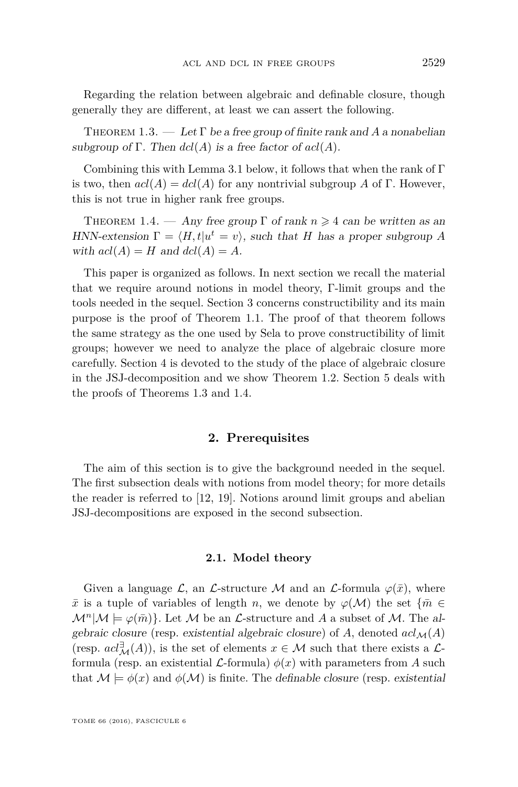Regarding the relation between algebraic and definable closure, though generally they are different, at least we can assert the following.

<span id="page-5-1"></span>THEOREM  $1.3.$  — Let  $\Gamma$  be a free group of finite rank and A a nonabelian subgroup of  $\Gamma$ . Then  $dcl(A)$  is a free factor of  $acl(A)$ .

Combining this with Lemma [3.1](#page-17-0) below, it follows that when the rank of Γ is two, then  $acl(A)=dcl(A)$  for any nontrivial subgroup A of  $\Gamma$ . However, this is not true in higher rank free groups.

<span id="page-5-2"></span>THEOREM 1.4. — Any free group  $\Gamma$  of rank  $n \geq 4$  can be written as an HNN-extension  $\Gamma = \langle H, t | u^t = v \rangle$ , such that *H* has a proper subgroup *A* with  $acl(A) = H$  and  $dcl(A) = A$ .

This paper is organized as follows. In next section we recall the material that we require around notions in model theory, Γ-limit groups and the tools needed in the sequel. Section [3](#page-17-1) concerns constructibility and its main purpose is the proof of Theorem [1.1.](#page-3-0) The proof of that theorem follows the same strategy as the one used by Sela to prove constructibility of limit groups; however we need to analyze the place of algebraic closure more carefully. Section [4](#page-27-0) is devoted to the study of the place of algebraic closure in the JSJ-decomposition and we show Theorem [1.2.](#page-4-0) Section [5](#page-31-0) deals with the proofs of Theorems [1.3](#page-5-1) and [1.4.](#page-5-2)

#### **2. Prerequisites**

<span id="page-5-0"></span>The aim of this section is to give the background needed in the sequel. The first subsection deals with notions from model theory; for more details the reader is referred to [\[12,](#page-38-8) [19\]](#page-38-0). Notions around limit groups and abelian JSJ-decompositions are exposed in the second subsection.

#### **2.1. Model theory**

Given a language L, an L-structure M and an L-formula  $\varphi(\bar{x})$ , where  $\bar{x}$  is a tuple of variables of length *n*, we denote by  $\varphi(\mathcal{M})$  the set  $\{\bar{m} \in$  $\mathcal{M}^n|\mathcal{M} \models \varphi(\bar{m})\}.$  Let M be an *L*-structure and A a subset of M. The algebraic closure (resp. existential algebraic closure) of A, denoted  $acl_{\mathcal{M}}(A)$ (resp.  $acl^{\exists}_{\mathcal{M}}(A)$ ), is the set of elements  $x \in \mathcal{M}$  such that there exists a  $\mathcal{L}$ formula (resp. an existential  $\mathcal{L}$ -formula)  $\phi(x)$  with parameters from A such that  $\mathcal{M} \models \phi(x)$  and  $\phi(\mathcal{M})$  is finite. The definable closure (resp. existential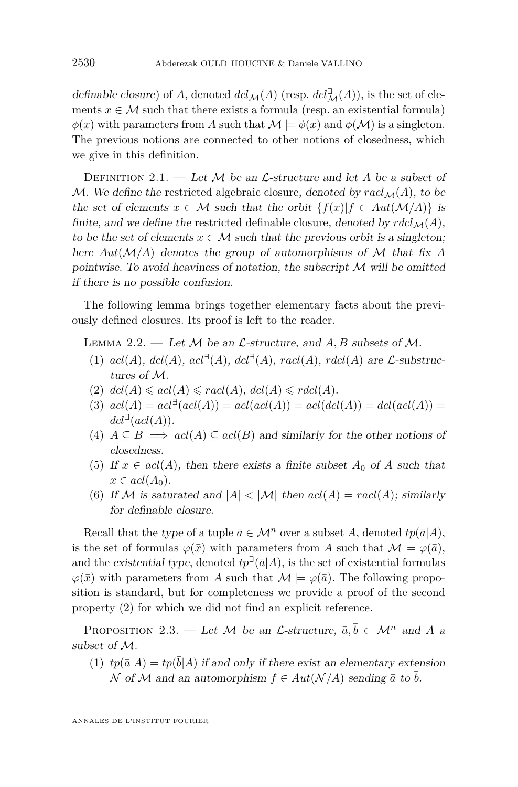definable closure) of *A*, denoted  $dcl_{\mathcal{M}}(A)$  (resp.  $dcl_{\mathcal{M}}^{\exists}(A)$ ), is the set of elements  $x \in M$  such that there exists a formula (resp. an existential formula)  $\phi(x)$  with parameters from *A* such that  $\mathcal{M} \models \phi(x)$  and  $\phi(\mathcal{M})$  is a singleton. The previous notions are connected to other notions of closedness, which we give in this definition.

DEFINITION 2.1. — Let  $M$  be an  $\mathcal{L}\text{-}structure$  and let  $A$  be a subset of M. We define the restricted algebraic closure, denoted by  $rad_{\mathcal{M}}(A)$ , to be the set of elements  $x \in M$  such that the orbit  $\{f(x)|f \in Aut(M/A)\}\$ is finite, and we define the restricted definable closure, denoted by  $r \frac{d\mathcal{L}}{M}(A)$ , to be the set of elements  $x \in \mathcal{M}$  such that the previous orbit is a singleton; here *Aut*(M*/A*) denotes the group of automorphisms of M that fix *A* pointwise. To avoid heaviness of notation, the subscript  $\mathcal M$  will be omitted if there is no possible confusion.

The following lemma brings together elementary facts about the previously defined closures. Its proof is left to the reader.

<span id="page-6-0"></span>LEMMA 2.2.  $-$  Let M be an *L*-structure, and A, B subsets of M.

- (1)  $acl(A), dcl(A), acl^{\exists}(A), dcl^{\exists}(A), rad(A), rad(A)$  are *L*-substructures of M.
- $(2)$   $dcl(A) \leqslant acl(A) \leqslant rad(A),$   $dcl(A) \leqslant rdcl(A).$
- $(3)$   $acl(A) = acl^{\exists}(acl(A)) = acl(acl(A)) = acl(det(A)) = dcl(acl(A))$  $dcl^{\exists} (acl(A)).$
- (4)  $A \subseteq B \implies \operatorname{acl}(A) \subseteq \operatorname{acl}(B)$  and similarly for the other notions of closedness.
- (5) If  $x \in \text{acl}(A)$ , then there exists a finite subset  $A_0$  of A such that  $x \in \text{acl}(A_0)$ .
- (6) If M is saturated and  $|A| < |M|$  then  $acl(A) = rad(A)$ ; similarly for definable closure.

Recall that the type of a tuple  $\bar{a} \in \mathcal{M}^n$  over a subset *A*, denoted  $tp(\bar{a}|A)$ , is the set of formulas  $\varphi(\bar{x})$  with parameters from *A* such that  $\mathcal{M} \models \varphi(\bar{a})$ , and the existential type, denoted  $tp^{\exists}(\bar{a}|A)$ , is the set of existential formulas  $\varphi(\bar{x})$  with parameters from *A* such that  $\mathcal{M} \models \varphi(\bar{a})$ . The following proposition is standard, but for completeness we provide a proof of the second property (2) for which we did not find an explicit reference.

<span id="page-6-1"></span>PROPOSITION 2.3. — Let M be an *L*-structure,  $\bar{a}, \bar{b} \in M^n$  and A a subset of M.

(1)  $tp(\bar{a}|A) = tp(\bar{b}|A)$  if and only if there exist an elementary extension N of M and an automorphism  $f \in Aut(\mathcal{N}/A)$  sending  $\bar{a}$  to b.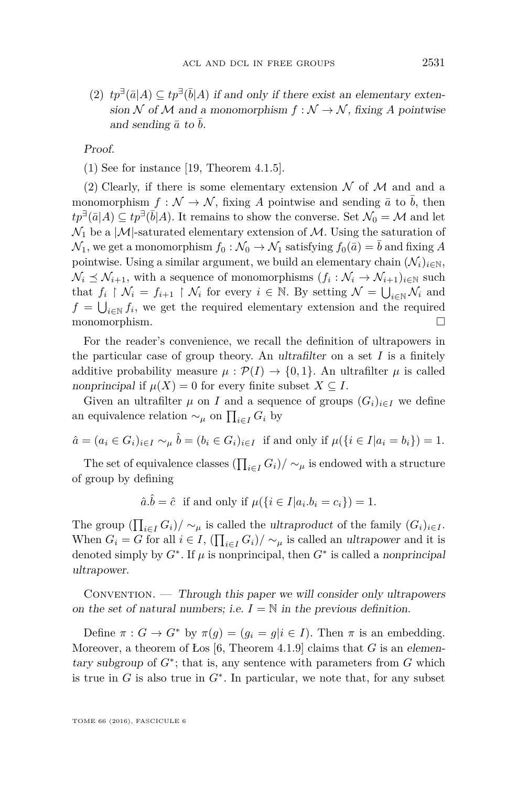(2)  $tp^{∃}(\bar{a}|A) ⊆ tp^{∃}(\bar{b}|A)$  if and only if there exist an elementary extension N of M and a monomorphism  $f : \mathcal{N} \to \mathcal{N}$ , fixing A pointwise and sending  $\bar{a}$  to  $\bar{b}$ .

Proof.

(1) See for instance [\[19,](#page-38-0) Theorem 4.1.5].

(2) Clearly, if there is some elementary extension  $\mathcal N$  of  $\mathcal M$  and and a monomorphism  $f: \mathcal{N} \to \mathcal{N}$ , fixing A pointwise and sending  $\bar{a}$  to  $\bar{b}$ , then  $tp^{\exists}(\bar{a}|A) \subseteq tp^{\exists}(\bar{b}|A)$ . It remains to show the converse. Set  $\mathcal{N}_0 = \mathcal{M}$  and let  $\mathcal{N}_1$  be a  $|\mathcal{M}|$ -saturated elementary extension of  $\mathcal{M}$ . Using the saturation of  $\mathcal{N}_1$ , we get a monomorphism  $f_0 : \mathcal{N}_0 \to \mathcal{N}_1$  satisfying  $f_0(\bar{a}) = \bar{b}$  and fixing A pointwise. Using a similar argument, we build an elementary chain  $(\mathcal{N}_i)_{i\in\mathbb{N}},$  $\mathcal{N}_i \preceq \mathcal{N}_{i+1}$ , with a sequence of monomorphisms  $(f_i : \mathcal{N}_i \to \mathcal{N}_{i+1})_{i \in \mathbb{N}}$  such that  $f_i \restriction \mathcal{N}_i = f_{i+1} \restriction \mathcal{N}_i$  for every  $i \in \mathbb{N}$ . By setting  $\mathcal{N} = \bigcup_{i \in \mathbb{N}} \mathcal{N}_i$  and  $f = \bigcup_{i \in \mathbb{N}} f_i$ , we get the required elementary extension and the required monomorphism.

For the reader's convenience, we recall the definition of ultrapowers in the particular case of group theory. An ultrafilter on a set  $I$  is a finitely additive probability measure  $\mu$ :  $\mathcal{P}(I) \rightarrow \{0,1\}$ . An ultrafilter  $\mu$  is called nonprincipal if  $\mu(X) = 0$  for every finite subset  $X \subseteq I$ .

Given an ultrafilter  $\mu$  on *I* and a sequence of groups  $(G_i)_{i \in I}$  we define an equivalence relation  $\sim_\mu$  on  $\prod_{i \in I} G_i$  by

$$
\hat{a} = (a_i \in G_i)_{i \in I} \sim_{\mu} \hat{b} = (b_i \in G_i)_{i \in I} \text{ if and only if } \mu(\{i \in I | a_i = b_i\}) = 1.
$$

The set of equivalence classes  $\left(\prod_{i \in I} G_i\right) / \sim_\mu$  is endowed with a structure of group by defining

 $\hat{a}.\hat{b} = \hat{c}$  if and only if  $\mu({i \in I | a_i.b_i = c_i}) = 1$ .

The group  $\left(\prod_{i \in I} G_i\right) / \sim_{\mu}$  is called the ultraproduct of the family  $(G_i)_{i \in I}$ . When  $G_i = G$  for all  $i \in I$ ,  $\left(\prod_{i \in I} G_i\right) / \sim_{\mu}$  is called an *ultrapower* and it is denoted simply by  $G^*$ . If  $\mu$  is nonprincipal, then  $G^*$  is called a nonprincipal ultrapower.

Convention. — Through this paper we will consider only ultrapowers on the set of natural numbers; i.e.  $I = \mathbb{N}$  in the previous definition.

Define  $\pi: G \to G^*$  by  $\pi(g) = (g_i = g | i \in I)$ . Then  $\pi$  is an embedding. Moreover, a theorem of Los  $[6,$  Theorem 4.1.9 claims that *G* is an elementary subgroup of  $G^*$ ; that is, any sentence with parameters from  $G$  which is true in  $G$  is also true in  $G^*$ . In particular, we note that, for any subset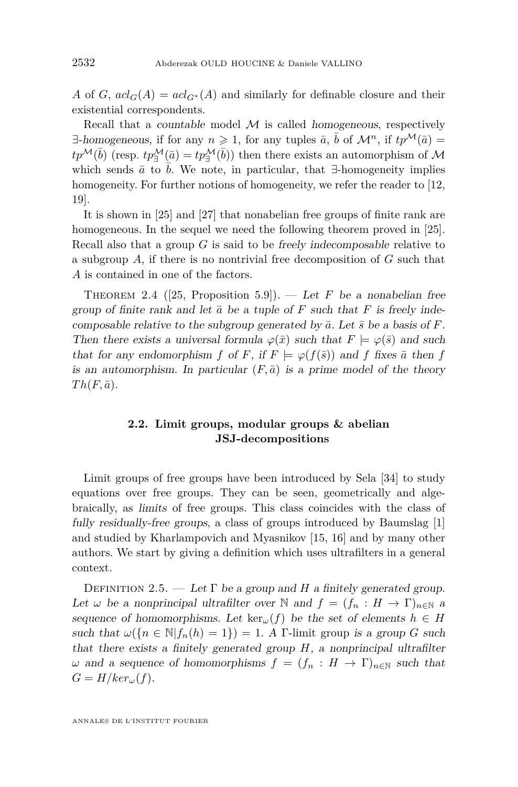*A* of *G*,  $acl_G(A) = acl_{G^*}(A)$  and similarly for definable closure and their existential correspondents.

Recall that a countable model  $M$  is called homogeneous, respectively  $\exists$ -homogeneous, if for any  $n \geq 1$ , for any tuples  $\bar{a}$ ,  $\bar{b}$  of  $\mathcal{M}^n$ , if  $tp^{\mathcal{M}}(\bar{a}) =$  $tp^{\mathcal{M}}(\bar{b})$  (resp.  $tp_{\exists}^{\mathcal{M}}(\bar{a}) = tp_{\exists}^{\mathcal{M}}(\bar{b}))$  then there exists an automorphism of  $\mathcal{M}$ which sends  $\bar{a}$  to  $\bar{b}$ . We note, in particular, that  $\exists$ -homogeneity implies homogeneity. For further notions of homogeneity, we refer the reader to [\[12,](#page-38-8) [19\]](#page-38-0).

It is shown in [\[25\]](#page-38-10) and [\[27\]](#page-38-11) that nonabelian free groups of finite rank are homogeneous. In the sequel we need the following theorem proved in [\[25\]](#page-38-10). Recall also that a group *G* is said to be freely indecomposable relative to a subgroup *A*, if there is no nontrivial free decomposition of *G* such that *A* is contained in one of the factors.

<span id="page-8-0"></span>THEOREM 2.4 ([\[25,](#page-38-10) Proposition 5.9]). — Let *F* be a nonabelian free group of finite rank and let  $\bar{a}$  be a tuple of  $F$  such that  $F$  is freely indecomposable relative to the subgroup generated by  $\bar{a}$ . Let  $\bar{s}$  be a basis of  $\bar{F}$ . Then there exists a universal formula  $\varphi(\bar{x})$  such that  $F \models \varphi(\bar{s})$  and such that for any endomorphism *f* of *F*, if  $F \models \varphi(f(\bar{s}))$  and *f* fixes  $\bar{a}$  then *f* is an automorphism. In particular  $(F, \bar{a})$  is a prime model of the theory  $Th(F, \bar{a})$ .

#### **2.2. Limit groups, modular groups & abelian JSJ-decompositions**

Limit groups of free groups have been introduced by Sela [\[34\]](#page-39-4) to study equations over free groups. They can be seen, geometrically and algebraically, as limits of free groups. This class coincides with the class of fully residually-free groups, a class of groups introduced by Baumslag [\[1\]](#page-37-1) and studied by Kharlampovich and Myasnikov [\[15,](#page-38-12) [16\]](#page-38-13) and by many other authors. We start by giving a definition which uses ultrafilters in a general context.

DEFINITION 2.5. — Let  $\Gamma$  be a group and *H* a finitely generated group. Let  $\omega$  be a nonprincipal ultrafilter over N and  $f = (f_n : H \to \Gamma)_{n \in \mathbb{N}}$  a sequence of homomorphisms. Let  $\ker(\mathcal{L}(f))$  be the set of elements  $h \in H$ such that  $\omega({n \in \mathbb{N}} | f_n(h) = 1) = 1$ . A Γ-limit group is a group *G* such that there exists a finitely generated group *H*, a nonprincipal ultrafilter *ω* and a sequence of homomorphisms *f* = (*f<sub>n</sub>* : *H* → Γ)<sub>*n*∈N</sub> such that  $G = H/ker_{\omega}(f)$ .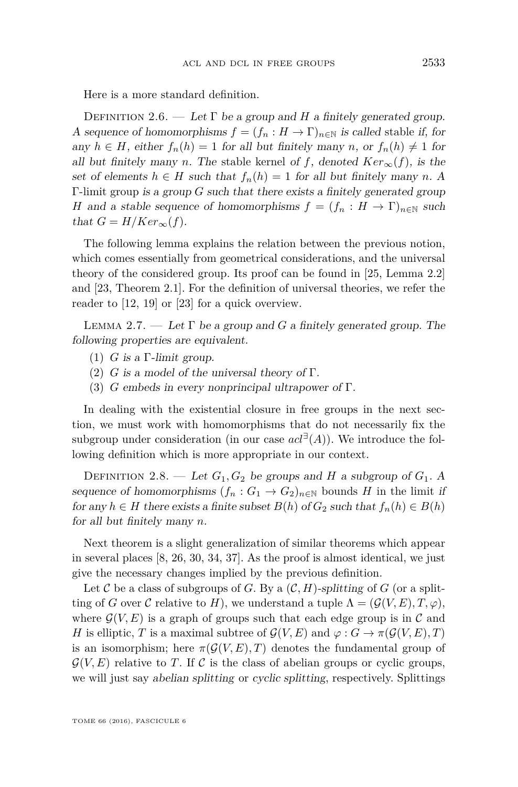Here is a more standard definition.

DEFINITION 2.6. — Let  $\Gamma$  be a group and *H* a finitely generated group. A sequence of homomorphisms  $f = (f_n : H \to \Gamma)_{n \in \mathbb{N}}$  is called stable if, for any  $h \in H$ , either  $f_n(h) = 1$  for all but finitely many *n*, or  $f_n(h) \neq 1$  for all but finitely many *n*. The stable kernel of *f*, denoted  $Ker_{\infty}(f)$ , is the set of elements  $h \in H$  such that  $f_n(h) = 1$  for all but finitely many *n*. A Γ-limit group is a group *G* such that there exists a finitely generated group *H* and a stable sequence of homomorphisms  $f = (f_n : H \to \Gamma)_{n \in \mathbb{N}}$  such that  $G = H/Ker_{\infty}(f)$ .

The following lemma explains the relation between the previous notion, which comes essentially from geometrical considerations, and the universal theory of the considered group. Its proof can be found in [\[25,](#page-38-10) Lemma 2.2] and [\[23,](#page-38-14) Theorem 2.1]. For the definition of universal theories, we refer the reader to [\[12,](#page-38-8) [19\]](#page-38-0) or [\[23\]](#page-38-14) for a quick overview.

LEMMA 2.7. — Let  $\Gamma$  be a group and *G* a finitely generated group. The following properties are equivalent.

- (1) *G* is a Γ-limit group.
- (2) *G* is a model of the universal theory of  $\Gamma$ .
- (3) *G* embeds in every nonprincipal ultrapower of Γ.

In dealing with the existential closure in free groups in the next section, we must work with homomorphisms that do not necessarily fix the subgroup under consideration (in our case  $acl^{\exists}(A)$ ). We introduce the following definition which is more appropriate in our context.

DEFINITION 2.8. — Let  $G_1, G_2$  be groups and *H* a subgroup of  $G_1$ . A sequence of homomorphisms  $(f_n: G_1 \to G_2)_{n \in \mathbb{N}}$  bounds *H* in the limit if for any  $h \in H$  there exists a finite subset  $B(h)$  of  $G_2$  such that  $f_n(h) \in B(h)$ for all but finitely many *n*.

Next theorem is a slight generalization of similar theorems which appear in several places [\[8,](#page-38-15) [26,](#page-38-16) [30,](#page-38-17) [34,](#page-39-4) [37\]](#page-39-5). As the proof is almost identical, we just give the necessary changes implied by the previous definition.

Let C be a class of subgroups of G. By a  $(C, H)$ -splitting of G (or a splitting of *G* over *C* relative to *H*), we understand a tuple  $\Lambda = (\mathcal{G}(V, E), T, \varphi)$ , where  $\mathcal{G}(V, E)$  is a graph of groups such that each edge group is in C and *H* is elliptic, *T* is a maximal subtree of  $\mathcal{G}(V, E)$  and  $\varphi : G \to \pi(\mathcal{G}(V, E), T)$ is an isomorphism; here  $\pi(\mathcal{G}(V,E),T)$  denotes the fundamental group of  $\mathcal{G}(V, E)$  relative to *T*. If C is the class of abelian groups or cyclic groups, we will just say abelian splitting or cyclic splitting, respectively. Splittings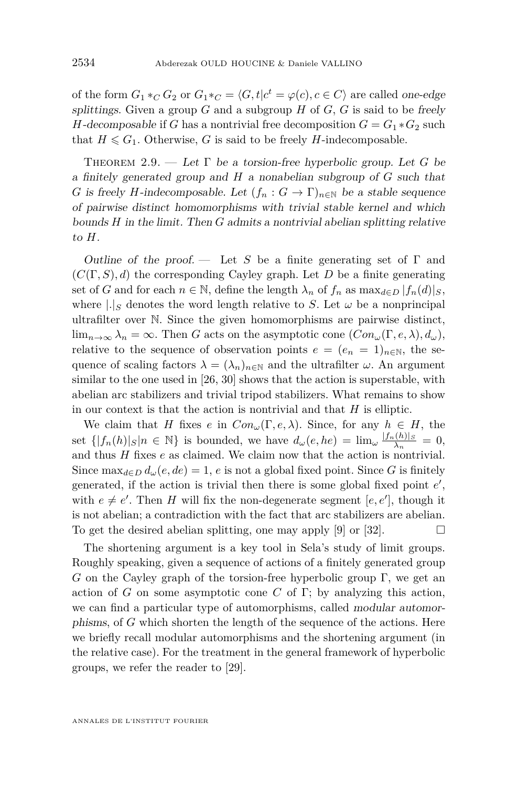of the form  $G_1 *_{C} G_2$  or  $G_1 *_{C} = \langle G, t | c^t = \varphi(c), c \in C \rangle$  are called one-edge splittings. Given a group  $G$  and a subgroup  $H$  of  $G$ ,  $G$  is said to be freely *H*-decomposable if *G* has a nontrivial free decomposition  $G = G_1 * G_2$  such that  $H \leq G_1$ . Otherwise, *G* is said to be freely *H*-indecomposable.

<span id="page-10-0"></span>THEOREM 2.9. — Let  $\Gamma$  be a torsion-free hyperbolic group. Let G be a finitely generated group and *H* a nonabelian subgroup of *G* such that *G* is freely *H*-indecomposable. Let  $(f_n : G \to \Gamma)_{n \in \mathbb{N}}$  be a stable sequence of pairwise distinct homomorphisms with trivial stable kernel and which bounds *H* in the limit. Then *G* admits a nontrivial abelian splitting relative to *H*.

Outline of the proof.  $\overline{ }$  Let *S* be a finite generating set of  $\Gamma$  and (*C*(Γ*, S*)*, d*) the corresponding Cayley graph. Let *D* be a finite generating set of *G* and for each  $n \in \mathbb{N}$ , define the length  $\lambda_n$  of  $f_n$  as  $\max_{d \in D} |f_n(d)|_S$ , where  $|.|_S$  denotes the word length relative to *S*. Let  $\omega$  be a nonprincipal ultrafilter over N. Since the given homomorphisms are pairwise distinct, lim<sub>n→∞</sub>  $\lambda_n = \infty$ . Then *G* acts on the asymptotic cone  $(Con_{\omega}(\Gamma, e, \lambda), d_{\omega}),$ relative to the sequence of observation points  $e = (e_n = 1)_{n \in \mathbb{N}}$ , the sequence of scaling factors  $\lambda = (\lambda_n)_{n \in \mathbb{N}}$  and the ultrafilter  $\omega$ . An argument similar to the one used in [\[26,](#page-38-16) [30\]](#page-38-17) shows that the action is superstable, with abelian arc stabilizers and trivial tripod stabilizers. What remains to show in our context is that the action is nontrivial and that *H* is elliptic.

We claim that *H* fixes *e* in  $Con_{\omega}(\Gamma, e, \lambda)$ . Since, for any  $h \in H$ , the set  $\{|f_n(h)|_S|n \in \mathbb{N}\}\$ is bounded, we have  $d_\omega(e, he) = \lim_{\omega \to 0} \frac{|f_n(h)|_S}{\lambda_n}$  $rac{(n)}{\lambda_n} = 0$ , and thus *H* fixes *e* as claimed. We claim now that the action is nontrivial. Since  $\max_{d \in D} d_{\omega}(e, de) = 1$ , *e* is not a global fixed point. Since *G* is finitely generated, if the action is trivial then there is some global fixed point  $e'$ , with  $e \neq e'$ . Then *H* will fix the non-degenerate segment [ $e, e'$ ], though it is not abelian; a contradiction with the fact that arc stabilizers are abelian. To get the desired abelian splitting, one may apply [\[9\]](#page-38-18) or [\[32\]](#page-39-6).  $\Box$ 

The shortening argument is a key tool in Sela's study of limit groups. Roughly speaking, given a sequence of actions of a finitely generated group *G* on the Cayley graph of the torsion-free hyperbolic group Γ, we get an action of *G* on some asymptotic cone *C* of Γ; by analyzing this action, we can find a particular type of automorphisms, called modular automorphisms, of *G* which shorten the length of the sequence of the actions. Here we briefly recall modular automorphisms and the shortening argument (in the relative case). For the treatment in the general framework of hyperbolic groups, we refer the reader to [\[29\]](#page-38-19).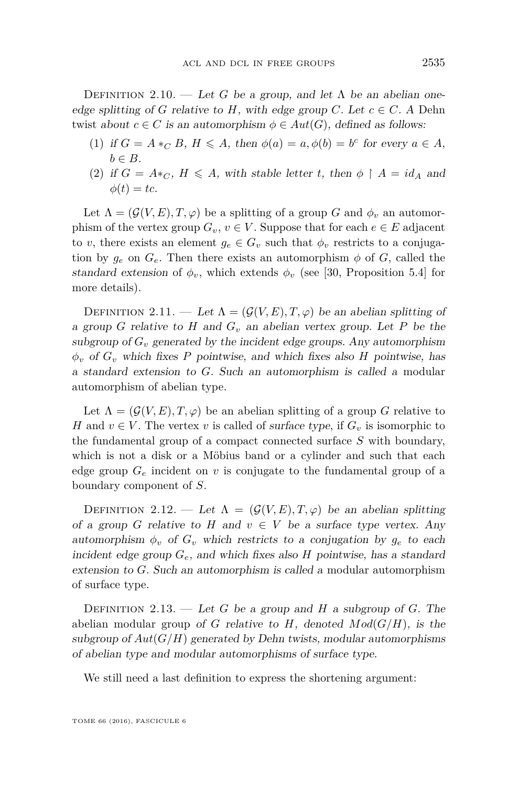DEFINITION 2.10. — Let *G* be a group, and let  $\Lambda$  be an abelian oneedge splitting of *G* relative to *H*, with edge group *C*. Let  $c \in C$ . A Dehn twist about  $c \in C$  is an automorphism  $\phi \in Aut(G)$ , defined as follows:

- (1) if  $G = A *_{C} B$ ,  $H \leq A$ , then  $\phi(a) = a, \phi(b) = b^{c}$  for every  $a \in A$ ,  $b \in B$ .
- (2) if  $G = A *_{C}$ ,  $H \leq A$ , with stable letter *t*, then  $\phi \restriction A = id_{A}$  and  $\phi(t) = tc.$

Let  $\Lambda = (\mathcal{G}(V, E), T, \varphi)$  be a splitting of a group *G* and  $\phi_v$  an automorphism of the vertex group  $G_v$ ,  $v \in V$ . Suppose that for each  $e \in E$  adjacent to *v*, there exists an element  $g_e \in G_v$  such that  $\phi_v$  restricts to a conjugation by  $g_e$  on  $G_e$ . Then there exists an automorphism  $\phi$  of *G*, called the standard extension of  $\phi_v$ , which extends  $\phi_v$  (see [\[30,](#page-38-17) Proposition 5.4] for more details).

DEFINITION 2.11. — Let  $\Lambda = (\mathcal{G}(V, E), T, \varphi)$  be an abelian splitting of a group *G* relative to *H* and *G<sup>v</sup>* an abelian vertex group. Let *P* be the subgroup of  $G_v$  generated by the incident edge groups. Any automorphism *φ<sup>v</sup>* of *G<sup>v</sup>* which fixes *P* pointwise, and which fixes also *H* pointwise, has a standard extension to *G*. Such an automorphism is called a modular automorphism of abelian type.

Let  $\Lambda = (\mathcal{G}(V, E), T, \varphi)$  be an abelian splitting of a group *G* relative to *H* and  $v \in V$ . The vertex *v* is called of surface type, if  $G_v$  is isomorphic to the fundamental group of a compact connected surface *S* with boundary, which is not a disk or a Möbius band or a cylinder and such that each edge group  $G_e$  incident on *v* is conjugate to the fundamental group of a boundary component of *S*.

DEFINITION 2.12. — Let  $\Lambda = (\mathcal{G}(V, E), T, \varphi)$  be an abelian splitting of a group *G* relative to *H* and  $v \in V$  be a surface type vertex. Any automorphism  $\phi_v$  of  $G_v$  which restricts to a conjugation by  $g_e$  to each incident edge group *Ge*, and which fixes also *H* pointwise, has a standard extension to *G*. Such an automorphism is called a modular automorphism of surface type.

DEFINITION 2.13. — Let *G* be a group and *H* a subgroup of *G*. The abelian modular group of *G* relative to *H*, denoted  $Mod(G/H)$ , is the subgroup of  $Aut(G/H)$  generated by Dehn twists, modular automorphisms of abelian type and modular automorphisms of surface type.

We still need a last definition to express the shortening argument: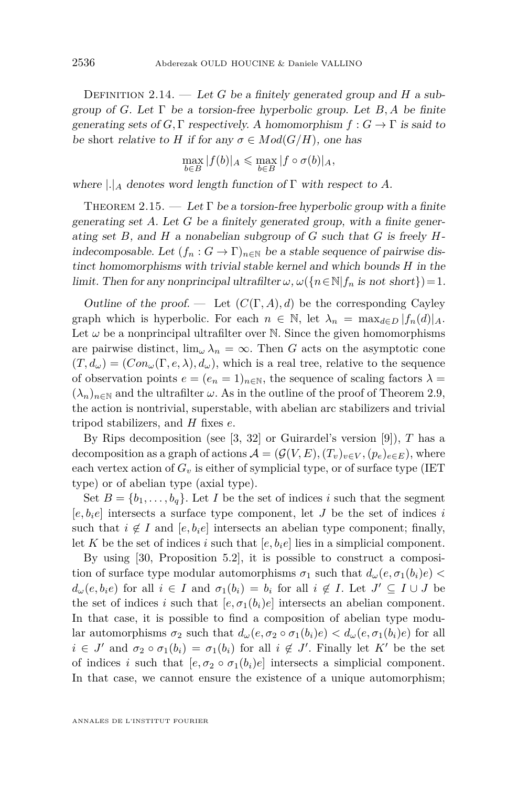Definition 2.14. — Let *G* be a finitely generated group and *H* a subgroup of *G*. Let Γ be a torsion-free hyperbolic group. Let *B, A* be finite generating sets of *G*, Γ respectively. A homomorphism  $f: G \to \Gamma$  is said to be short relative to *H* if for any  $\sigma \in Mod(G/H)$ , one has

$$
\max_{b \in B} |f(b)|_A \le \max_{b \in B} |f \circ \sigma(b)|_A,
$$

where  $|.|_A$  denotes word length function of  $\Gamma$  with respect to A.

<span id="page-12-0"></span>THEOREM 2.15. — Let  $\Gamma$  be a torsion-free hyperbolic group with a finite generating set *A*. Let *G* be a finitely generated group, with a finite generating set *B*, and *H* a nonabelian subgroup of *G* such that *G* is freely *H*indecomposable. Let  $(f_n : G \to \Gamma)_{n \in \mathbb{N}}$  be a stable sequence of pairwise distinct homomorphisms with trivial stable kernel and which bounds *H* in the limit. Then for any nonprincipal ultrafilter  $\omega$ ,  $\omega({n \in \mathbb{N} | f_n \text{ is not short}}) = 1$ .

Outline of the proof. — Let  $(C(\Gamma, A), d)$  be the corresponding Cayley graph which is hyperbolic. For each  $n \in \mathbb{N}$ , let  $\lambda_n = \max_{d \in D} |f_n(d)|_A$ . Let  $\omega$  be a nonprincipal ultrafilter over N. Since the given homomorphisms are pairwise distinct,  $\lim_{\omega} \lambda_n = \infty$ . Then *G* acts on the asymptotic cone  $(T, d_{\omega}) = (Con_{\omega}(\Gamma, e, \lambda), d_{\omega})$ , which is a real tree, relative to the sequence of observation points  $e = (e_n = 1)_{n \in \mathbb{N}}$ , the sequence of scaling factors  $\lambda =$  $(\lambda_n)_{n\in\mathbb{N}}$  and the ultrafilter  $\omega$ . As in the outline of the proof of Theorem [2.9,](#page-10-0) the action is nontrivial, superstable, with abelian arc stabilizers and trivial tripod stabilizers, and *H* fixes *e*.

By Rips decomposition (see [\[3,](#page-37-2) [32\]](#page-39-6) or Guirardel's version [\[9\]](#page-38-18)), *T* has a decomposition as a graph of actions  $\mathcal{A} = (\mathcal{G}(V, E), (T_v)_{v \in V}, (p_e)_{e \in E})$ , where each vertex action of  $G_v$  is either of symplicial type, or of surface type (IET type) or of abelian type (axial type).

Set  $B = \{b_1, \ldots, b_q\}$ . Let *I* be the set of indices *i* such that the segment  $[e, b_i e]$  intersects a surface type component, let *J* be the set of indices *i* such that  $i \notin I$  and  $[e, b_i e]$  intersects an abelian type component; finally, let *K* be the set of indices *i* such that  $[e, b_i e]$  lies in a simplicial component.

By using [\[30,](#page-38-17) Proposition 5.2], it is possible to construct a composition of surface type modular automorphisms  $\sigma_1$  such that  $d_\omega(e, \sigma_1(b_i)e)$  $d_{\omega}(e, b_i e)$  for all  $i \in I$  and  $\sigma_1(b_i) = b_i$  for all  $i \notin I$ . Let  $J' \subseteq I \cup J$  be the set of indices *i* such that  $[e, \sigma_1(b_i)e]$  intersects an abelian component. In that case, it is possible to find a composition of abelian type modular automorphisms  $\sigma_2$  such that  $d_\omega(e, \sigma_2 \circ \sigma_1(b_i)e) < d_\omega(e, \sigma_1(b_i)e)$  for all  $i \in J'$  and  $\sigma_2 \circ \sigma_1(b_i) = \sigma_1(b_i)$  for all  $i \notin J'$ . Finally let K' be the set of indices *i* such that  $[e, \sigma_2 \circ \sigma_1(b_i)e]$  intersects a simplicial component. In that case, we cannot ensure the existence of a unique automorphism;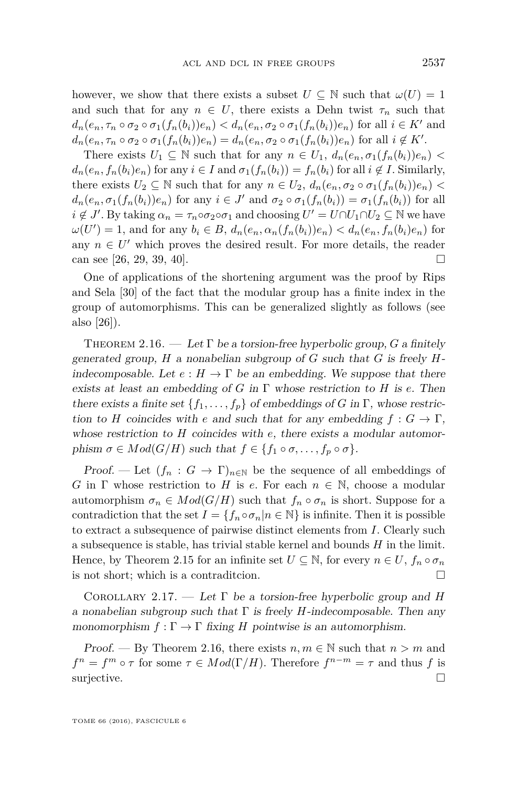however, we show that there exists a subset  $U \subseteq \mathbb{N}$  such that  $\omega(U) = 1$ and such that for any  $n \in U$ , there exists a Dehn twist  $\tau_n$  such that  $d_n(e_n, \tau_n \circ \sigma_2 \circ \sigma_1(f_n(b_i))e_n) < d_n(e_n, \sigma_2 \circ \sigma_1(f_n(b_i))e_n)$  for all  $i \in K'$  and  $d_n(e_n, \tau_n \circ \sigma_2 \circ \sigma_1(f_n(b_i))e_n) = d_n(e_n, \sigma_2 \circ \sigma_1(f_n(b_i))e_n)$  for all  $i \notin K'.$ 

There exists  $U_1 \subseteq \mathbb{N}$  such that for any  $n \in U_1$ ,  $d_n(e_n, \sigma_1(f_n(b_i))e_n)$  $d_n(e_n, f_n(b_i)e_n)$  for any  $i \in I$  and  $\sigma_1(f_n(b_i)) = f_n(b_i)$  for all  $i \notin I$ . Similarly, there exists  $U_2 \subseteq \mathbb{N}$  such that for any  $n \in U_2$ ,  $d_n(e_n, \sigma_2 \circ \sigma_1(f_n(b_i))e_n)$  $d_n(e_n, \sigma_1(f_n(b_i))e_n)$  for any  $i \in J'$  and  $\sigma_2 \circ \sigma_1(f_n(b_i)) = \sigma_1(f_n(b_i))$  for all  $i \notin J'$ . By taking  $\alpha_n = \tau_n \circ \sigma_2 \circ \sigma_1$  and choosing  $U' = U \cap U_1 \cap U_2 \subseteq \mathbb{N}$  we have  $\omega(U') = 1$ , and for any  $b_i \in B$ ,  $d_n(e_n, \alpha_n(f_n(b_i))e_n) < d_n(e_n, f_n(b_i)e_n)$  for any  $n \in U'$  which proves the desired result. For more details, the reader can see [\[26,](#page-38-16) [29,](#page-38-19) [39,](#page-39-7) [40\]](#page-39-8).

One of applications of the shortening argument was the proof by Rips and Sela [\[30\]](#page-38-17) of the fact that the modular group has a finite index in the group of automorphisms. This can be generalized slightly as follows (see also [\[26\]](#page-38-16)).

<span id="page-13-0"></span>THEOREM 2.16. — Let  $\Gamma$  be a torsion-free hyperbolic group,  $G$  a finitely generated group, *H* a nonabelian subgroup of *G* such that *G* is freely *H*indecomposable. Let  $e : H \to \Gamma$  be an embedding. We suppose that there exists at least an embedding of *G* in Γ whose restriction to *H* is *e*. Then there exists a finite set  $\{f_1, \ldots, f_n\}$  of embeddings of *G* in  $\Gamma$ , whose restriction to *H* coincides with *e* and such that for any embedding  $f: G \to \Gamma$ , whose restriction to *H* coincides with *e*, there exists a modular automorphism  $\sigma \in Mod(G/H)$  such that  $f \in \{f_1 \circ \sigma, \ldots, f_p \circ \sigma\}.$ 

Proof. — Let  $(f_n : G \to \Gamma)_{n \in \mathbb{N}}$  be the sequence of all embeddings of *G* in  $\Gamma$  whose restriction to *H* is *e*. For each  $n \in \mathbb{N}$ , choose a modular automorphism  $\sigma_n \in Mod(G/H)$  such that  $f_n \circ \sigma_n$  is short. Suppose for a contradiction that the set  $I = \{f_n \circ \sigma_n | n \in \mathbb{N}\}\$ is infinite. Then it is possible to extract a subsequence of pairwise distinct elements from *I*. Clearly such a subsequence is stable, has trivial stable kernel and bounds *H* in the limit. Hence, by Theorem [2.15](#page-12-0) for an infinite set  $U \subseteq \mathbb{N}$ , for every  $n \in U$ ,  $f_n \circ \sigma_n$ is not short; which is a contraditcion.

<span id="page-13-1"></span>Corollary 2.17. — Let Γ be a torsion-free hyperbolic group and *H* a nonabelian subgroup such that Γ is freely *H*-indecomposable. Then any monomorphism  $f : \Gamma \to \Gamma$  fixing *H* pointwise is an automorphism.

*Proof.* — By Theorem [2.16,](#page-13-0) there exists  $n, m \in \mathbb{N}$  such that  $n > m$  and  $f^{n} = f^{m} \circ \tau$  for some  $\tau \in Mod(\Gamma/H)$ . Therefore  $f^{n-m} = \tau$  and thus *f* is surjective.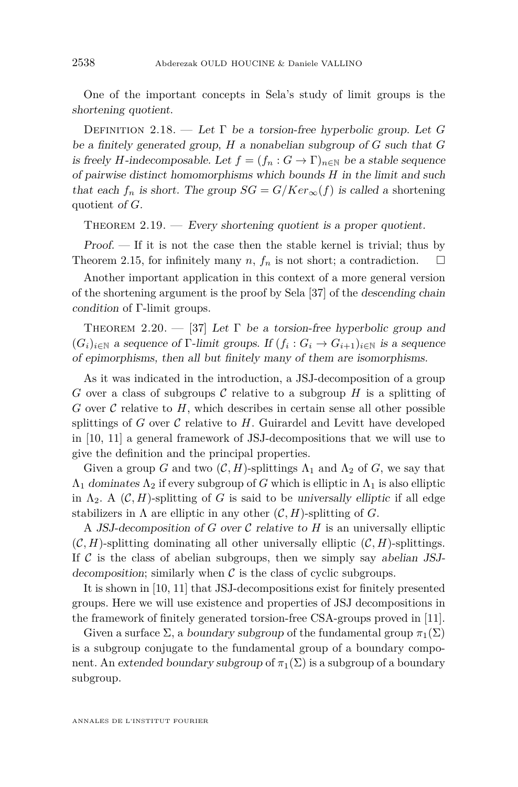One of the important concepts in Sela's study of limit groups is the shortening quotient.

Definition 2.18. — Let Γ be a torsion-free hyperbolic group. Let *G* be a finitely generated group, *H* a nonabelian subgroup of *G* such that *G* is freely *H*-indecomposable. Let  $f = (f_n : G \to \Gamma)_{n \in \mathbb{N}}$  be a stable sequence of pairwise distinct homomorphisms which bounds *H* in the limit and such that each  $f_n$  is short. The group  $SG = G/Ker_{\infty}(f)$  is called a shortening quotient of *G*.

<span id="page-14-0"></span>THEOREM  $2.19.$  — Every shortening quotient is a proper quotient.

Proof. — If it is not the case then the stable kernel is trivial; thus by Theorem [2.15,](#page-12-0) for infinitely many *n*,  $f_n$  is not short; a contradiction.  $\Box$ 

Another important application in this context of a more general version of the shortening argument is the proof by Sela [\[37\]](#page-39-5) of the descending chain condition of Γ-limit groups.

<span id="page-14-1"></span>THEOREM 2.20. — [\[37\]](#page-39-5) Let  $\Gamma$  be a torsion-free hyperbolic group and  $(G_i)_{i \in \mathbb{N}}$  a sequence of  $\Gamma$ -limit groups. If  $(f_i: G_i \to G_{i+1})_{i \in \mathbb{N}}$  is a sequence of epimorphisms, then all but finitely many of them are isomorphisms.

As it was indicated in the introduction, a JSJ-decomposition of a group *G* over a class of subgroups  $C$  relative to a subgroup  $H$  is a splitting of *G* over  $\mathcal C$  relative to  $H$ , which describes in certain sense all other possible splittings of  $G$  over  $\mathcal C$  relative to  $H$ . Guirardel and Levitt have developed in [\[10,](#page-38-6) [11\]](#page-38-20) a general framework of JSJ-decompositions that we will use to give the definition and the principal properties.

Given a group *G* and two  $(C, H)$ -splittings  $\Lambda_1$  and  $\Lambda_2$  of *G*, we say that  $\Lambda_1$  dominates  $\Lambda_2$  if every subgroup of *G* which is elliptic in  $\Lambda_1$  is also elliptic in  $\Lambda_2$ . A  $(\mathcal{C}, H)$ -splitting of *G* is said to be universally elliptic if all edge stabilizers in  $\Lambda$  are elliptic in any other  $(C, H)$ -splitting of *G*.

A JSJ-decomposition of *G* over C relative to *H* is an universally elliptic  $(C, H)$ -splitting dominating all other universally elliptic  $(C, H)$ -splittings. If  $\mathcal C$  is the class of abelian subgroups, then we simply say abelian JSJdecomposition; similarly when  $\mathcal C$  is the class of cyclic subgroups.

It is shown in [\[10,](#page-38-6) [11\]](#page-38-20) that JSJ-decompositions exist for finitely presented groups. Here we will use existence and properties of JSJ decompositions in the framework of finitely generated torsion-free CSA-groups proved in [\[11\]](#page-38-20).

Given a surface  $\Sigma$ , a *boundary subgroup* of the fundamental group  $\pi_1(\Sigma)$ is a subgroup conjugate to the fundamental group of a boundary component. An extended boundary subgroup of  $\pi_1(\Sigma)$  is a subgroup of a boundary subgroup.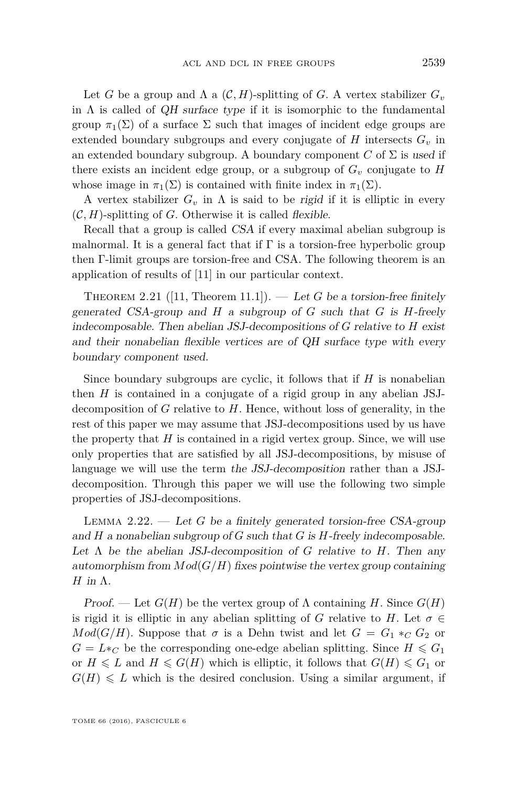Let *G* be a group and  $\Lambda$  a  $(C, H)$ -splitting of *G*. A vertex stabilizer  $G_v$ in  $\Lambda$  is called of QH surface type if it is isomorphic to the fundamental group  $\pi_1(\Sigma)$  of a surface  $\Sigma$  such that images of incident edge groups are extended boundary subgroups and every conjugate of  $H$  intersects  $G<sub>v</sub>$  in an extended boundary subgroup. A boundary component  $C$  of  $\Sigma$  is used if there exists an incident edge group, or a subgroup of  $G<sub>v</sub>$  conjugate to *H* whose image in  $\pi_1(\Sigma)$  is contained with finite index in  $\pi_1(\Sigma)$ .

A vertex stabilizer  $G_v$  in  $\Lambda$  is said to be *rigid* if it is elliptic in every  $(C, H)$ -splitting of *G*. Otherwise it is called *flexible*.

Recall that a group is called CSA if every maximal abelian subgroup is malnormal. It is a general fact that if  $\Gamma$  is a torsion-free hyperbolic group then Γ-limit groups are torsion-free and CSA. The following theorem is an application of results of [\[11\]](#page-38-20) in our particular context.

THEOREM 2.21 ([\[11,](#page-38-20) Theorem 11.1]). — Let G be a torsion-free finitely generated CSA-group and *H* a subgroup of *G* such that *G* is *H*-freely indecomposable. Then abelian JSJ-decompositions of *G* relative to *H* exist and their nonabelian flexible vertices are of QH surface type with every boundary component used.

Since boundary subgroups are cyclic, it follows that if *H* is nonabelian then *H* is contained in a conjugate of a rigid group in any abelian JSJdecomposition of *G* relative to *H*. Hence, without loss of generality, in the rest of this paper we may assume that JSJ-decompositions used by us have the property that  $H$  is contained in a rigid vertex group. Since, we will use only properties that are satisfied by all JSJ-decompositions, by misuse of language we will use the term the JSJ-decomposition rather than a JSJdecomposition. Through this paper we will use the following two simple properties of JSJ-decompositions.

<span id="page-15-0"></span>Lemma 2.22. — Let *G* be a finitely generated torsion-free CSA-group and *H* a nonabelian subgroup of *G* such that *G* is *H*-freely indecomposable. Let Λ be the abelian JSJ-decomposition of *G* relative to *H*. Then any automorphism from  $Mod(G/H)$  fixes pointwise the vertex group containing *H* in Λ.

Proof. — Let  $G(H)$  be the vertex group of  $\Lambda$  containing *H*. Since  $G(H)$ is rigid it is elliptic in any abelian splitting of *G* relative to *H*. Let  $\sigma \in$  $Mod(G/H)$ . Suppose that  $\sigma$  is a Dehn twist and let  $G = G_1 *_{C} G_2$  or  $G = L *_{C}$  be the corresponding one-edge abelian splitting. Since  $H \leq G_1$ or  $H \le L$  and  $H \le G(H)$  which is elliptic, it follows that  $G(H) \le G_1$  or  $G(H) \leq L$  which is the desired conclusion. Using a similar argument, if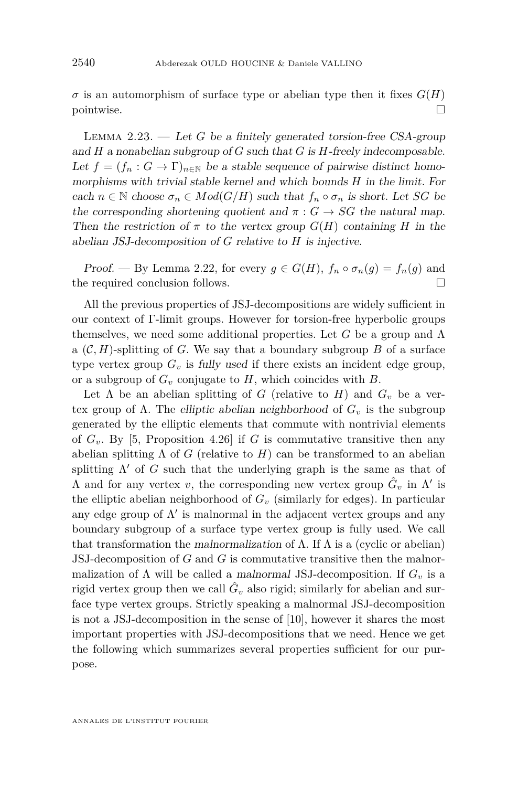$\sigma$  is an automorphism of surface type or abelian type then it fixes  $G(H)$ pointwise.

<span id="page-16-0"></span>Lemma 2.23. — Let *G* be a finitely generated torsion-free CSA-group and *H* a nonabelian subgroup of *G* such that *G* is *H*-freely indecomposable. Let  $f = (f_n : G \to \Gamma)_{n \in \mathbb{N}}$  be a stable sequence of pairwise distinct homomorphisms with trivial stable kernel and which bounds *H* in the limit. For each  $n \in \mathbb{N}$  choose  $\sigma_n \in Mod(G/H)$  such that  $f_n \circ \sigma_n$  is short. Let *SG* be the corresponding shortening quotient and  $\pi$  :  $G \rightarrow SG$  the natural map. Then the restriction of  $\pi$  to the vertex group  $G(H)$  containing *H* in the abelian JSJ-decomposition of *G* relative to *H* is injective.

Proof. — By Lemma [2.22,](#page-15-0) for every  $g \in G(H)$ ,  $f_n \circ \sigma_n(g) = f_n(g)$  and the required conclusion follows.

All the previous properties of JSJ-decompositions are widely sufficient in our context of Γ-limit groups. However for torsion-free hyperbolic groups themselves, we need some additional properties. Let *G* be a group and Λ a  $(C, H)$ -splitting of *G*. We say that a boundary subgroup *B* of a surface type vertex group  $G_v$  is fully used if there exists an incident edge group, or a subgroup of *G<sup>v</sup>* conjugate to *H*, which coincides with *B*.

Let  $\Lambda$  be an abelian splitting of *G* (relative to *H*) and  $G_v$  be a vertex group of Λ. The elliptic abelian neighborhood of *G<sup>v</sup>* is the subgroup generated by the elliptic elements that commute with nontrivial elements of  $G_v$ . By [\[5,](#page-37-3) Proposition 4.26] if *G* is commutative transitive then any abelian splitting  $\Lambda$  of *G* (relative to *H*) can be transformed to an abelian splitting  $\Lambda'$  of *G* such that the underlying graph is the same as that of  $\Lambda$  and for any vertex  $v$ , the corresponding new vertex group  $\hat{G}_v$  in  $\Lambda'$  is the elliptic abelian neighborhood of  $G<sub>v</sub>$  (similarly for edges). In particular any edge group of  $\Lambda'$  is malnormal in the adjacent vertex groups and any boundary subgroup of a surface type vertex group is fully used. We call that transformation the malnormalization of  $\Lambda$ . If  $\Lambda$  is a (cyclic or abelian) JSJ-decomposition of *G* and *G* is commutative transitive then the malnormalization of  $\Lambda$  will be called a malnormal JSJ-decomposition. If  $G_v$  is a rigid vertex group then we call  $\hat{G}_v$  also rigid; similarly for abelian and surface type vertex groups. Strictly speaking a malnormal JSJ-decomposition is not a JSJ-decomposition in the sense of [\[10\]](#page-38-6), however it shares the most important properties with JSJ-decompositions that we need. Hence we get the following which summarizes several properties sufficient for our purpose.

ANNALES DE L'INSTITUT FOURIER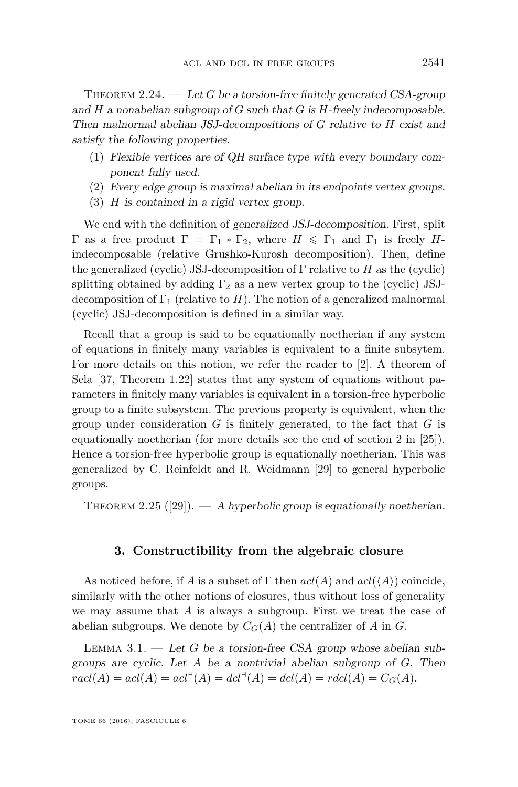<span id="page-17-2"></span>THEOREM 2.24.  $\qquad \qquad Let G be a torsion-free finitely generated CSA-group$ and *H* a nonabelian subgroup of *G* such that *G* is *H*-freely indecomposable. Then malnormal abelian JSJ-decompositions of *G* relative to *H* exist and satisfy the following properties.

- (1) Flexible vertices are of QH surface type with every boundary component fully used.
- (2) Every edge group is maximal abelian in its endpoints vertex groups.
- (3) *H* is contained in a rigid vertex group.

We end with the definition of generalized JSJ-decomposition. First, split Γ as a free product  $\Gamma = \Gamma_1 * \Gamma_2$ , where  $H \leq \Gamma_1$  and  $\Gamma_1$  is freely *H*indecomposable (relative Grushko-Kurosh decomposition). Then, define the generalized (cyclic) JSJ-decomposition of Γ relative to *H* as the (cyclic) splitting obtained by adding  $\Gamma_2$  as a new vertex group to the (cyclic) JSJdecomposition of  $\Gamma_1$  (relative to *H*). The notion of a generalized malnormal (cyclic) JSJ-decomposition is defined in a similar way.

Recall that a group is said to be equationally noetherian if any system of equations in finitely many variables is equivalent to a finite subsytem. For more details on this notion, we refer the reader to [\[2\]](#page-37-4). A theorem of Sela [\[37,](#page-39-5) Theorem 1.22] states that any system of equations without parameters in finitely many variables is equivalent in a torsion-free hyperbolic group to a finite subsystem. The previous property is equivalent, when the group under consideration *G* is finitely generated, to the fact that *G* is equationally noetherian (for more details see the end of section 2 in [\[25\]](#page-38-10)). Hence a torsion-free hyperbolic group is equationally noetherian. This was generalized by C. Reinfeldt and R. Weidmann [\[29\]](#page-38-19) to general hyperbolic groups.

THEOREM 2.25 ([\[29\]](#page-38-19)).  $- A$  hyperbolic group is equationally noetherian.

#### **3. Constructibility from the algebraic closure**

<span id="page-17-1"></span>As noticed before, if *A* is a subset of  $\Gamma$  then  $acl(A)$  and  $acl(\langle A \rangle)$  coincide, similarly with the other notions of closures, thus without loss of generality we may assume that *A* is always a subgroup. First we treat the case of abelian subgroups. We denote by  $C_G(A)$  the centralizer of A in G.

<span id="page-17-0"></span>Lemma 3.1. — Let *G* be a torsion-free CSA group whose abelian subgroups are cyclic. Let *A* be a nontrivial abelian subgroup of *G*. Then  $r \text{acl}(A) = \text{acl}(A) = \text{acl}^{\exists}(A) = \text{dcl}^{\exists}(A) = \text{dcl}(A) = \text{rdcl}(A) = C_G(A).$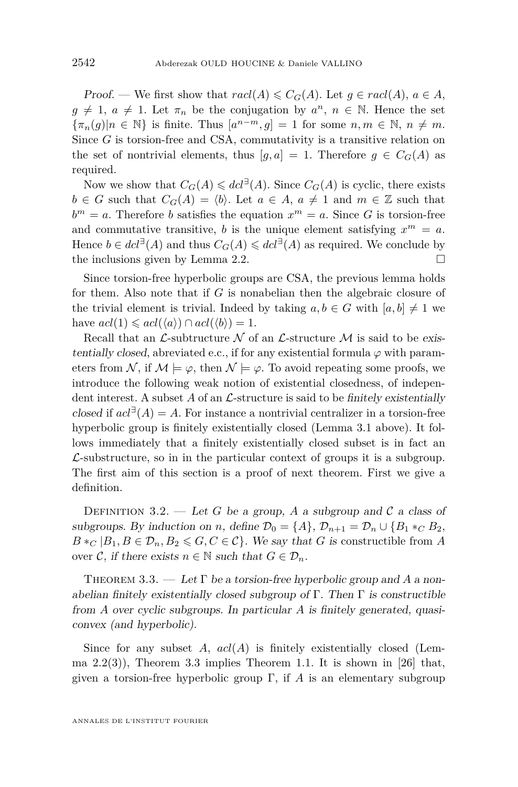Proof. — We first show that  $\text{rad}(A) \leqslant C_G(A)$ . Let  $g \in \text{rad}(A), a \in A$ ,  $g \neq 1$ ,  $a \neq 1$ . Let  $\pi_n$  be the conjugation by  $a^n$ ,  $n \in \mathbb{N}$ . Hence the set  ${\lbrace \pi_n(g) | n \in \mathbb{N} \rbrace}$  is finite. Thus  $[a^{n-m}, g] = 1$  for some  $n, m \in \mathbb{N}, n \neq m$ . Since *G* is torsion-free and CSA, commutativity is a transitive relation on the set of nontrivial elements, thus  $[q, a] = 1$ . Therefore  $q \in C_G(A)$  as required.

Now we show that  $C_G(A) \leq dcl^{\exists}(A)$ . Since  $C_G(A)$  is cyclic, there exists *b* ∈ *G* such that  $C_G(A) = \langle b \rangle$ . Let  $a \in A$ ,  $a \neq 1$  and  $m \in \mathbb{Z}$  such that  $b^m = a$ . Therefore *b* satisfies the equation  $x^m = a$ . Since *G* is torsion-free and commutative transitive, *b* is the unique element satisfying  $x^m = a$ . Hence  $b \in dcl^{\exists}(A)$  and thus  $C_G(A) \leq dcl^{\exists}(A)$  as required. We conclude by the inclusions given by Lemma [2.2.](#page-6-0)  $\Box$ 

Since torsion-free hyperbolic groups are CSA, the previous lemma holds for them. Also note that if *G* is nonabelian then the algebraic closure of the trivial element is trivial. Indeed by taking  $a, b \in G$  with  $[a, b] \neq 1$  we have  $acl(1) \leqslant acl(\langle a \rangle) \cap acl(\langle b \rangle) = 1.$ 

Recall that an  $\mathcal{L}$ -subtructure  $\mathcal N$  of an  $\mathcal L$ -structure  $\mathcal M$  is said to be existentially closed, abreviated e.c., if for any existential formula  $\varphi$  with parameters from N, if  $M \models \varphi$ , then  $N \models \varphi$ . To avoid repeating some proofs, we introduce the following weak notion of existential closedness, of independent interest. A subset  $A$  of an  $\mathcal{L}$ -structure is said to be finitely existentially closed if  $acl^{\exists}(A) = A$ . For instance a nontrivial centralizer in a torsion-free hyperbolic group is finitely existentially closed (Lemma [3.1](#page-17-0) above). It follows immediately that a finitely existentially closed subset is in fact an  $\mathcal{L}$ -substructure, so in in the particular context of groups it is a subgroup. The first aim of this section is a proof of next theorem. First we give a definition.

DEFINITION 3.2. — Let *G* be a group, *A* a subgroup and *C* a class of subgroups. By induction on *n*, define  $\mathcal{D}_0 = \{A\}$ ,  $\mathcal{D}_{n+1} = \mathcal{D}_n \cup \{B_1 *_{C} B_2,$  $B*_C | B_1, B \in \mathcal{D}_n, B_2 \leqslant G, C \in \mathcal{C}$ . We say that *G* is constructible from *A* over C, if there exists  $n \in \mathbb{N}$  such that  $G \in \mathcal{D}_n$ .

<span id="page-18-0"></span>Theorem 3.3. — Let Γ be a torsion-free hyperbolic group and *A* a nonabelian finitely existentially closed subgroup of Γ. Then  $\Gamma$  is constructible from *A* over cyclic subgroups. In particular *A* is finitely generated, quasiconvex (and hyperbolic).

Since for any subset *A*, *acl*(*A*) is finitely existentially closed (Lemma  $2.2(3)$  $2.2(3)$ ), Theorem [3.3](#page-18-0) implies Theorem [1.1.](#page-3-0) It is shown in [\[26\]](#page-38-16) that, given a torsion-free hyperbolic group Γ, if *A* is an elementary subgroup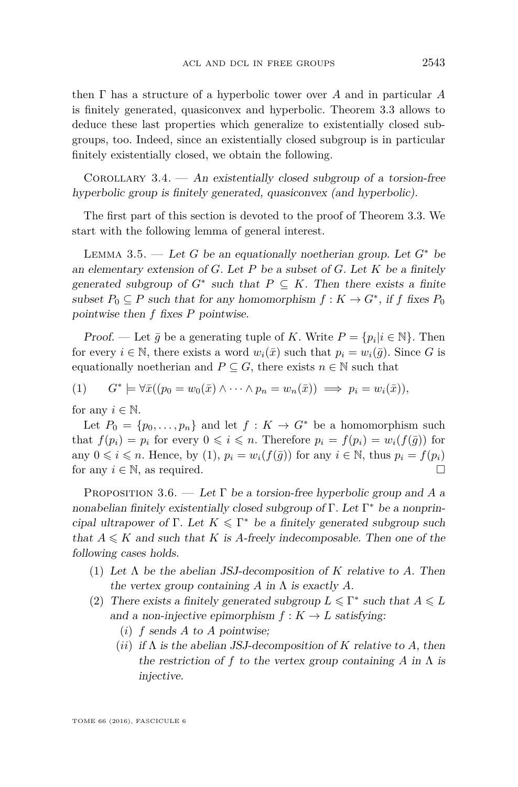then Γ has a structure of a hyperbolic tower over *A* and in particular *A* is finitely generated, quasiconvex and hyperbolic. Theorem [3.3](#page-18-0) allows to deduce these last properties which generalize to existentially closed subgroups, too. Indeed, since an existentially closed subgroup is in particular finitely existentially closed, we obtain the following.

COROLLARY  $3.4.$  — An existentially closed subgroup of a torsion-free hyperbolic group is finitely generated, quasiconvex (and hyperbolic).

The first part of this section is devoted to the proof of Theorem [3.3.](#page-18-0) We start with the following lemma of general interest.

<span id="page-19-1"></span>LEMMA 3.5. — Let *G* be an equationally noetherian group. Let  $G^*$  be an elementary extension of *G*. Let *P* be a subset of *G*. Let *K* be a finitely generated subgroup of  $G^*$  such that  $P \subseteq K$ . Then there exists a finite subset  $P_0 \subseteq P$  such that for any homomorphism  $f: K \to G^*$ , if  $f$  fixes  $P_0$ pointwise then *f* fixes *P* pointwise.

*Proof.* — Let  $\bar{g}$  be a generating tuple of *K*. Write  $P = \{p_i | i \in \mathbb{N}\}\$ . Then for every  $i \in \mathbb{N}$ , there exists a word  $w_i(\bar{x})$  such that  $p_i = w_i(\bar{g})$ . Since *G* is equationally noetherian and  $P \subseteq G$ , there exists  $n \in \mathbb{N}$  such that

<span id="page-19-0"></span> $(1)$  $*$   $\models \forall \bar{x}((p_0 = w_0(\bar{x}) \land \cdots \land p_n = w_n(\bar{x})) \implies p_i = w_i(\bar{x})),$ 

for any  $i \in \mathbb{N}$ .

Let  $P_0 = \{p_0, \ldots, p_n\}$  and let  $f: K \to G^*$  be a homomorphism such that  $f(p_i) = p_i$  for every  $0 \leq i \leq n$ . Therefore  $p_i = f(p_i) = w_i(f(\bar{g}))$  for any  $0 \leq i \leq n$ . Hence, by [\(1\)](#page-19-0),  $p_i = w_i(f(\bar{q}))$  for any  $i \in \mathbb{N}$ , thus  $p_i = f(p_i)$ for any  $i \in \mathbb{N}$ , as required.

<span id="page-19-2"></span>Proposition 3.6. — Let Γ be a torsion-free hyperbolic group and *A* a nonabelian finitely existentially closed subgroup of Γ. Let Γ <sup>∗</sup> be a nonprincipal ultrapower of  $\Gamma$ . Let  $K \leq \Gamma^*$  be a finitely generated subgroup such that  $A \leq K$  and such that *K* is *A*-freely indecomposable. Then one of the following cases holds.

- (1) Let Λ be the abelian JSJ-decomposition of *K* relative to *A*. Then the vertex group containing  $A$  in  $\Lambda$  is exactly  $A$ .
- (2) There exists a finitely generated subgroup  $L \leq \Gamma^*$  such that  $A \leq L$ and a non-injective epimorphism  $f : K \to L$  satisfying:
	- (*i*) *f* sends *A* to *A* pointwise;
	- (*ii*) if  $\Lambda$  is the abelian JSJ-decomposition of  $K$  relative to  $A$ , then the restriction of *f* to the vertex group containing *A* in  $\Lambda$  is injective.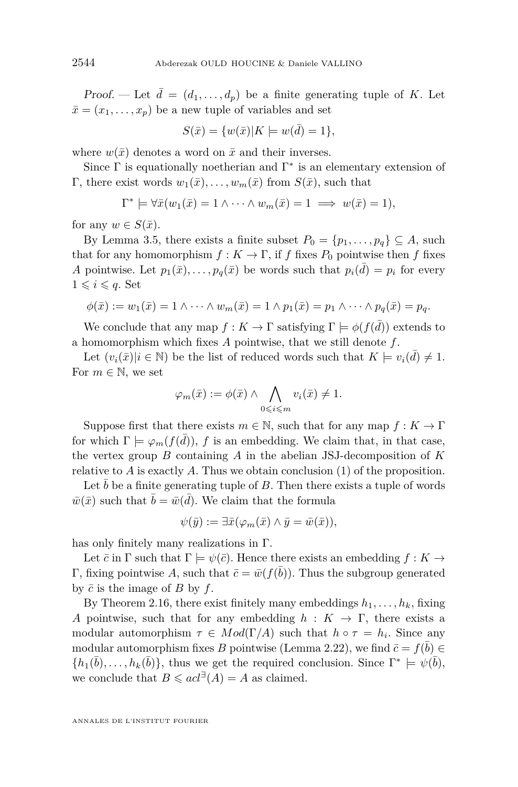Proof. — Let  $\bar{d} = (d_1, \ldots, d_p)$  be a finite generating tuple of K. Let  $\bar{x} = (x_1, \ldots, x_p)$  be a new tuple of variables and set

$$
S(\bar{x}) = \{w(\bar{x})|K \models w(\bar{d}) = 1\},\
$$

where  $w(\bar{x})$  denotes a word on  $\bar{x}$  and their inverses.

Since  $\Gamma$  is equationally noetherian and  $\Gamma^*$  is an elementary extension of Γ, there exist words  $w_1(\bar{x}), \ldots, w_m(\bar{x})$  from  $S(\bar{x})$ , such that

$$
\Gamma^* \models \forall \bar{x}(w_1(\bar{x}) = 1 \land \dots \land w_m(\bar{x}) = 1 \implies w(\bar{x}) = 1),
$$

for any  $w \in S(\bar{x})$ .

By Lemma [3.5,](#page-19-1) there exists a finite subset  $P_0 = \{p_1, \ldots, p_q\} \subseteq A$ , such that for any homomorphism  $f: K \to \Gamma$ , if *f* fixes  $P_0$  pointwise then *f* fixes *A* pointwise. Let  $p_1(\bar{x}), \ldots, p_q(\bar{x})$  be words such that  $p_i(\bar{d}) = p_i$  for every  $1 \leqslant i \leqslant q$ . Set

$$
\phi(\bar{x}) := w_1(\bar{x}) = 1 \wedge \cdots \wedge w_m(\bar{x}) = 1 \wedge p_1(\bar{x}) = p_1 \wedge \cdots \wedge p_q(\bar{x}) = p_q.
$$

We conclude that any map  $f: K \to \Gamma$  satisfying  $\Gamma \models \phi(f(\bar{d}))$  extends to a homomorphism which fixes *A* pointwise, that we still denote *f*.

Let  $(v_i(\bar{x})|i \in \mathbb{N})$  be the list of reduced words such that  $K \models v_i(\bar{d}) \neq 1$ . For  $m \in \mathbb{N}$ , we set

$$
\varphi_m(\bar{x}) := \phi(\bar{x}) \land \bigwedge_{0 \leq i \leq m} v_i(\bar{x}) \neq 1.
$$

Suppose first that there exists  $m \in \mathbb{N}$ , such that for any map  $f: K \to \Gamma$ for which  $\Gamma \models \varphi_m(f(\bar{d})), f$  is an embedding. We claim that, in that case, the vertex group *B* containing *A* in the abelian JSJ-decomposition of *K* relative to *A* is exactly *A*. Thus we obtain conclusion (1) of the proposition.

Let  $b$  be a finite generating tuple of  $B$ . Then there exists a tuple of words  $\bar{w}(\bar{x})$  such that  $\bar{b} = \bar{w}(\bar{d})$ . We claim that the formula

$$
\psi(\bar{y}) := \exists \bar{x} (\varphi_m(\bar{x}) \wedge \bar{y} = \bar{w}(\bar{x})),
$$

has only finitely many realizations in Γ.

Let  $\bar{c}$  in  $\Gamma$  such that  $\Gamma \models \psi(\bar{c})$ . Hence there exists an embedding  $f : K \rightarrow$ Γ, fixing pointwise A, such that  $\bar{c} = \bar{w}(f(\bar{b}))$ . Thus the subgroup generated by  $\bar{c}$  is the image of *B* by  $f$ .

By Theorem [2.16,](#page-13-0) there exist finitely many embeddings  $h_1, \ldots, h_k$ , fixing *A* pointwise, such that for any embedding  $h: K \to \Gamma$ , there exists a modular automorphism  $\tau \in Mod(\Gamma/A)$  such that  $h \circ \tau = h_i$ . Since any modular automorphism fixes *B* pointwise (Lemma [2.22\)](#page-15-0), we find  $\bar{c} = f(\bar{b}) \in$  $\{h_1(\bar{b}), \ldots, h_k(\bar{b})\}$ , thus we get the required conclusion. Since  $\Gamma^* \models \psi(\bar{b})$ , we conclude that  $B \leqslant acl^{\exists}(A) = A$  as claimed.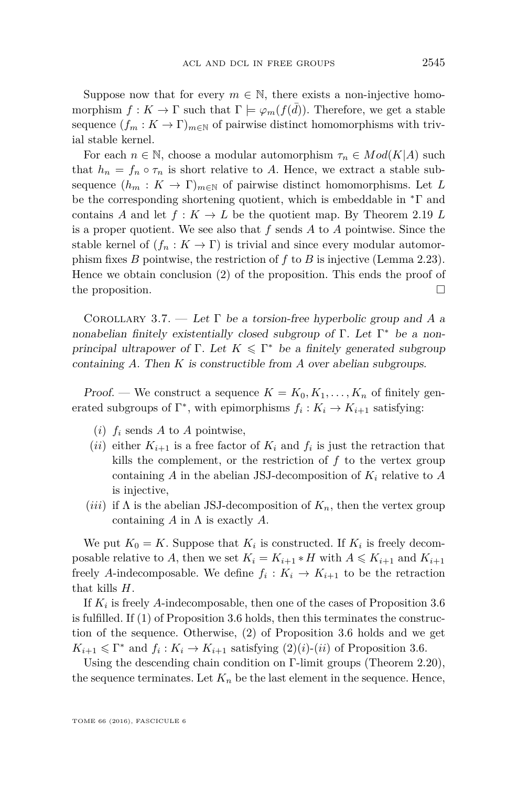Suppose now that for every  $m \in \mathbb{N}$ , there exists a non-injective homomorphism  $f: K \to \Gamma$  such that  $\Gamma \models \varphi_m(f(\bar{d}))$ . Therefore, we get a stable sequence  $(f_m : K \to \Gamma)_{m \in \mathbb{N}}$  of pairwise distinct homomorphisms with trivial stable kernel.

For each  $n \in \mathbb{N}$ , choose a modular automorphism  $\tau_n \in Mod(K|A)$  such that  $h_n = f_n \circ \tau_n$  is short relative to A. Hence, we extract a stable subsequence  $(h_m: K \to \Gamma)_{m \in \mathbb{N}}$  of pairwise distinct homomorphisms. Let L be the corresponding shortening quotient, which is embeddable in  $\Delta \Gamma$  and contains *A* and let  $f: K \to L$  be the quotient map. By Theorem [2.19](#page-14-0) *L* is a proper quotient. We see also that *f* sends *A* to *A* pointwise. Since the stable kernel of  $(f_n : K \to \Gamma)$  is trivial and since every modular automorphism fixes *B* pointwise, the restriction of *f* to *B* is injective (Lemma [2.23\)](#page-16-0). Hence we obtain conclusion (2) of the proposition. This ends the proof of the proposition.  $\Box$ 

<span id="page-21-0"></span>Corollary 3.7. — Let Γ be a torsion-free hyperbolic group and *A* a nonabelian finitely existentially closed subgroup of Γ. Let Γ <sup>∗</sup> be a nonprincipal ultrapower of  $\Gamma$ . Let  $K \leq \Gamma^*$  be a finitely generated subgroup containing *A*. Then *K* is constructible from *A* over abelian subgroups.

Proof. — We construct a sequence  $K = K_0, K_1, \ldots, K_n$  of finitely generated subgroups of  $\Gamma^*$ , with epimorphisms  $f_i: K_i \to K_{i+1}$  satisfying:

- $(i)$   $f_i$  sends A to A pointwise,
- $(ii)$  either  $K_{i+1}$  is a free factor of  $K_i$  and  $f_i$  is just the retraction that kills the complement, or the restriction of *f* to the vertex group containing *A* in the abelian JSJ-decomposition of *K<sup>i</sup>* relative to *A* is injective,
- (*iii*) if  $\Lambda$  is the abelian JSJ-decomposition of  $K_n$ , then the vertex group containing *A* in Λ is exactly *A*.

We put  $K_0 = K$ . Suppose that  $K_i$  is constructed. If  $K_i$  is freely decomposable relative to *A*, then we set  $K_i = K_{i+1} * H$  with  $A \leq K_{i+1}$  and  $K_{i+1}$ freely *A*-indecomposable. We define  $f_i: K_i \to K_{i+1}$  to be the retraction that kills *H*.

If *K<sup>i</sup>* is freely *A*-indecomposable, then one of the cases of Proposition [3.6](#page-19-2) is fulfilled. If (1) of Proposition [3.6](#page-19-2) holds, then this terminates the construction of the sequence. Otherwise, (2) of Proposition [3.6](#page-19-2) holds and we get  $K_{i+1} \leq \Gamma^*$  and  $f_i: K_i \to K_{i+1}$  satisfying  $(2)(i)$ - $(ii)$  of Proposition [3.6.](#page-19-2)

Using the descending chain condition on Γ-limit groups (Theorem [2.20\)](#page-14-1), the sequence terminates. Let  $K_n$  be the last element in the sequence. Hence,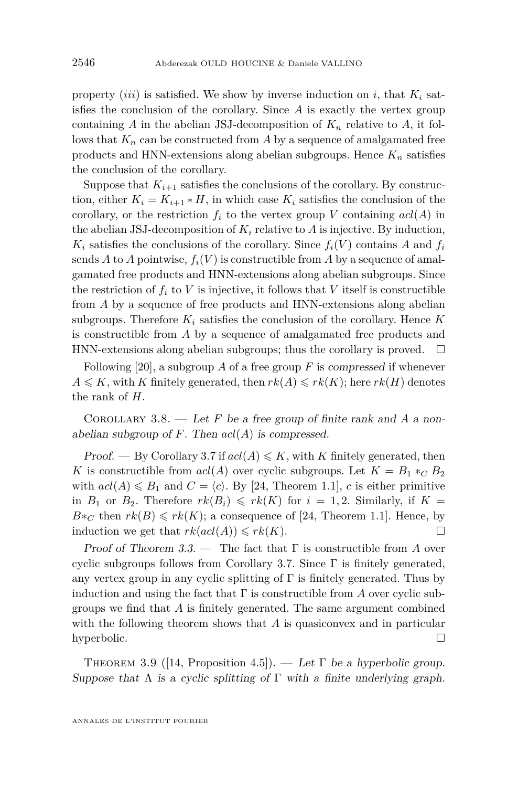property *(iii)* is satisfied. We show by inverse induction on *i*, that  $K_i$  satisfies the conclusion of the corollary. Since *A* is exactly the vertex group containing *A* in the abelian JSJ-decomposition of  $K_n$  relative to *A*, it follows that  $K_n$  can be constructed from A by a sequence of amalgamated free products and HNN-extensions along abelian subgroups. Hence  $K_n$  satisfies the conclusion of the corollary.

Suppose that  $K_{i+1}$  satisfies the conclusions of the corollary. By construction, either  $K_i = K_{i+1} * H$ , in which case  $K_i$  satisfies the conclusion of the corollary, or the restriction  $f_i$  to the vertex group *V* containing  $acl(A)$  in the abelian JSJ-decomposition of  $K_i$  relative to  $A$  is injective. By induction,  $K_i$  satisfies the conclusions of the corollary. Since  $f_i(V)$  contains *A* and  $f_i$ sends *A* to *A* pointwise,  $f_i(V)$  is constructible from *A* by a sequence of amalgamated free products and HNN-extensions along abelian subgroups. Since the restriction of  $f_i$  to  $V$  is injective, it follows that  $V$  itself is constructible from *A* by a sequence of free products and HNN-extensions along abelian subgroups. Therefore  $K_i$  satisfies the conclusion of the corollary. Hence  $K$ is constructible from *A* by a sequence of amalgamated free products and HNN-extensions along abelian subgroups; thus the corollary is proved.  $\Box$ 

Following  $[20]$ , a subgroup *A* of a free group *F* is compressed if whenever  $A \le K$ , with *K* finitely generated, then  $rk(A) \le rk(K)$ ; here  $rk(H)$  denotes the rank of *H*.

<span id="page-22-0"></span>COROLLARY 3.8. — Let  $F$  be a free group of finite rank and  $A$  a nonabelian subgroup of  $F$ . Then  $acl(A)$  is compressed.

Proof. — By Corollary [3.7](#page-21-0) if  $acl(A) \leq K$ , with *K* finitely generated, then *K* is constructible from  $acl(A)$  over cyclic subgroups. Let  $K = B_1 *_{C} B_2$ with  $acl(A) \leq B_1$  and  $C = \langle c \rangle$ . By [\[24,](#page-38-21) Theorem 1.1], *c* is either primitive in  $B_1$  or  $B_2$ . Therefore  $rk(B_i) \leqslant rk(K)$  for  $i = 1, 2$ . Similarly, if  $K =$  $B*_C$  then  $rk(B) \leqslant rk(K)$ ; a consequence of [\[24,](#page-38-21) Theorem 1.1]. Hence, by induction we get that  $rk(\text{acl}(A)) \leqslant rk(K)$ .

Proof of Theorem [3.3.](#page-18-0) — The fact that Γ is constructible from *A* over cyclic subgroups follows from Corollary [3.7.](#page-21-0) Since Γ is finitely generated, any vertex group in any cyclic splitting of  $\Gamma$  is finitely generated. Thus by induction and using the fact that  $\Gamma$  is constructible from A over cyclic subgroups we find that *A* is finitely generated. The same argument combined with the following theorem shows that *A* is quasiconvex and in particular hyperbolic.  $\square$ 

THEOREM 3.9 ([\[14,](#page-38-22) Proposition 4.5]). — Let  $\Gamma$  be a hyperbolic group. Suppose that  $\Lambda$  is a cyclic splitting of  $\Gamma$  with a finite underlying graph.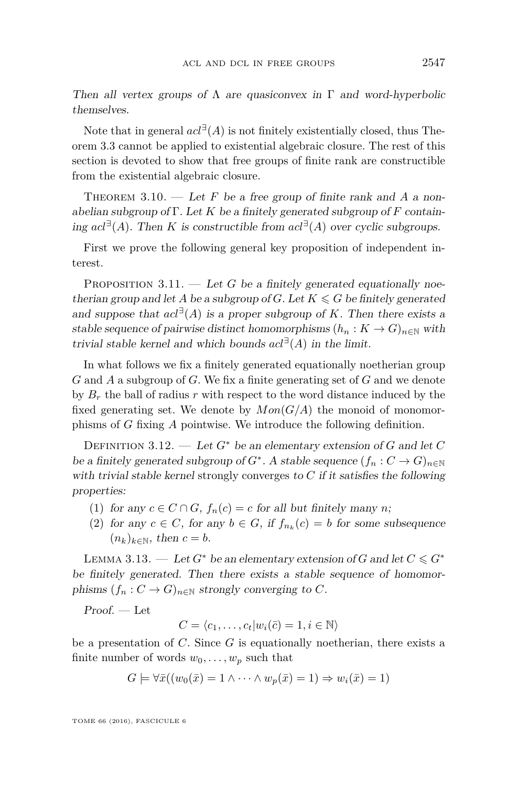Then all vertex groups of  $\Lambda$  are quasiconvex in  $\Gamma$  and word-hyperbolic themselves.

Note that in general  $acl^{\exists}(A)$  is not finitely existentially closed, thus Theorem [3.3](#page-18-0) cannot be applied to existential algebraic closure. The rest of this section is devoted to show that free groups of finite rank are constructible from the existential algebraic closure.

<span id="page-23-5"></span>THEOREM  $3.10.$  — Let F be a free group of finite rank and A a nonabelian subgroup of Γ. Let *K* be a finitely generated subgroup of *F* containing  $acl<sup>∃</sup>(A)$ . Then *K* is constructible from  $acl<sup>∃</sup>(A)$  over cyclic subgroups.

First we prove the following general key proposition of independent interest.

<span id="page-23-4"></span>PROPOSITION  $3.11.$  — Let *G* be a finitely generated equationally noetherian group and let *A* be a subgroup of *G*. Let  $K \le G$  be finitely generated and suppose that  $acl^{\exists}(A)$  is a proper subgroup of *K*. Then there exists a stable sequence of pairwise distinct homomorphisms  $(h_n: K \to G)_{n \in \mathbb{N}}$  with trivial stable kernel and which bounds  $acl^{\exists}(A)$  in the limit.

In what follows we fix a finitely generated equationally noetherian group *G* and *A* a subgroup of *G*. We fix a finite generating set of *G* and we denote by  $B_r$  the ball of radius  $r$  with respect to the word distance induced by the fixed generating set. We denote by  $Mon(G/A)$  the monoid of monomorphisms of *G* fixing *A* pointwise. We introduce the following definition.

<span id="page-23-2"></span>DEFINITION 3.12. — Let  $G^*$  be an elementary extension of  $G$  and let  $C$ be a finitely generated subgroup of  $G^*$ . A stable sequence  $(f_n: C \to G)_{n \in \mathbb{N}}$ with trivial stable kernel strongly converges to *C* if it satisfies the following properties:

- <span id="page-23-0"></span>(1) for any  $c \in C \cap G$ ,  $f_n(c) = c$  for all but finitely many *n*;
- <span id="page-23-1"></span>(2) for any  $c \in C$ , for any  $b \in G$ , if  $f_{n_k}(c) = b$  for some subsequence  $(n_k)_{k \in \mathbb{N}}$ , then  $c = b$ .

<span id="page-23-3"></span>LEMMA 3.13. — Let  $G^*$  be an elementary extension of G and let  $C \leq G^*$ be finitely generated. Then there exists a stable sequence of homomorphisms  $(f_n : C \to G)_{n \in \mathbb{N}}$  strongly converging to *C*.

Proof. — Let

$$
C = \langle c_1, \dots, c_t | w_i(\bar{c}) = 1, i \in \mathbb{N} \rangle
$$

be a presentation of *C*. Since *G* is equationally noetherian, there exists a finite number of words  $w_0, \ldots, w_p$  such that

$$
G \models \forall \bar{x}((w_0(\bar{x}) = 1 \land \dots \land w_p(\bar{x}) = 1) \Rightarrow w_i(\bar{x}) = 1)
$$

TOME 66 (2016), FASCICULE 6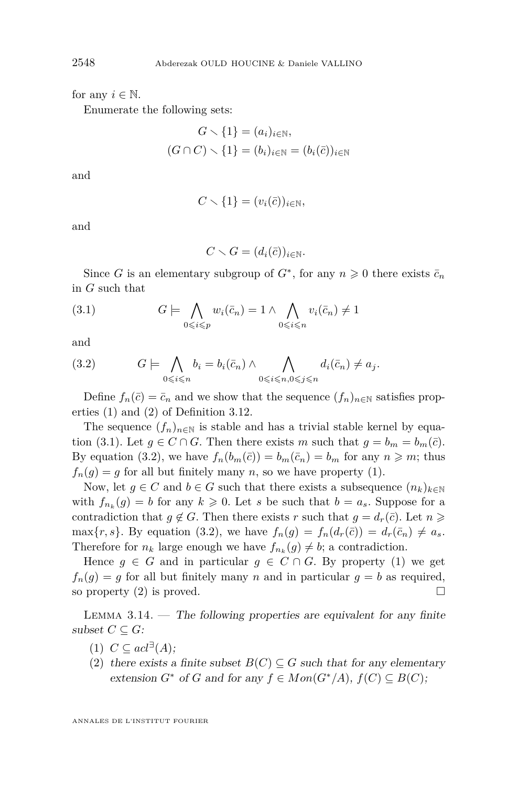for any  $i \in \mathbb{N}$ .

Enumerate the following sets:

$$
G \setminus \{1\} = (a_i)_{i \in \mathbb{N}},
$$
  

$$
(G \cap C) \setminus \{1\} = (b_i)_{i \in \mathbb{N}} = (b_i(\bar{c}))_{i \in \mathbb{N}}
$$

and

$$
C \setminus \{1\} = (v_i(\bar{c}))_{i \in \mathbb{N}},
$$

and

<span id="page-24-0"></span>
$$
C \setminus G = (d_i(\bar{c}))_{i \in \mathbb{N}}.
$$

Since *G* is an elementary subgroup of  $G^*$ , for any  $n \geq 0$  there exists  $\bar{c}_n$ in *G* such that

(3.1) 
$$
G \models \bigwedge_{0 \leq i \leq p} w_i(\bar{c}_n) = 1 \land \bigwedge_{0 \leq i \leq n} v_i(\bar{c}_n) \neq 1
$$

and

<span id="page-24-1"></span>
$$
(3.2) \tG \models \bigwedge_{0 \leq i \leq n} b_i = b_i(\bar{c}_n) \wedge \bigwedge_{0 \leq i \leq n, 0 \leq j \leq n} d_i(\bar{c}_n) \neq a_j.
$$

Define  $f_n(\bar{c}) = \bar{c}_n$  and we show that the sequence  $(f_n)_{n \in \mathbb{N}}$  satisfies properties [\(1\)](#page-23-0) and [\(2\)](#page-23-1) of Definition [3.12.](#page-23-2)

The sequence  $(f_n)_{n\in\mathbb{N}}$  is stable and has a trivial stable kernel by equa-tion [\(3.1\)](#page-24-0). Let  $g \in C \cap G$ . Then there exists *m* such that  $g = b_m = b_m(\bar{c})$ . By equation [\(3.2\)](#page-24-1), we have  $f_n(b_m(\bar{c})) = b_m(\bar{c}_n) = b_m$  for any  $n \geq m$ ; thus  $f_n(g) = g$  for all but finitely many *n*, so we have property [\(1\)](#page-23-0).

Now, let  $g \in C$  and  $b \in G$  such that there exists a subsequence  $(n_k)_{k \in \mathbb{N}}$ with  $f_{n_k}(g) = b$  for any  $k \geq 0$ . Let *s* be such that  $b = a_s$ . Suppose for a contradiction that  $g \notin G$ . Then there exists *r* such that  $g = d_r(\bar{c})$ . Let  $n \geq$ max $\{r, s\}$ . By equation [\(3.2\)](#page-24-1), we have  $f_n(g) = f_n(d_r(\bar{c})) = d_r(\bar{c}_n) \neq a_s$ . Therefore for  $n_k$  large enough we have  $f_{n_k}(g) \neq b$ ; a contradiction.

Hence  $g \in G$  and in particular  $g \in C \cap G$ . By property [\(1\)](#page-23-0) we get  $f_n(g) = g$  for all but finitely many *n* and in particular  $g = b$  as required, so property  $(2)$  is proved.

<span id="page-24-3"></span>LEMMA  $3.14.$  — The following properties are equivalent for any finite subset  $C \subseteq G$ :

- <span id="page-24-2"></span> $(1)$   $C \subseteq acl^{\exists}(A);$
- (2) there exists a finite subset  $B(C) \subseteq G$  such that for any elementary extension  $G^*$  of  $G$  and for any  $f \in Mon(G^*/A), f(C) \subseteq B(C);$

ANNALES DE L'INSTITUT FOURIER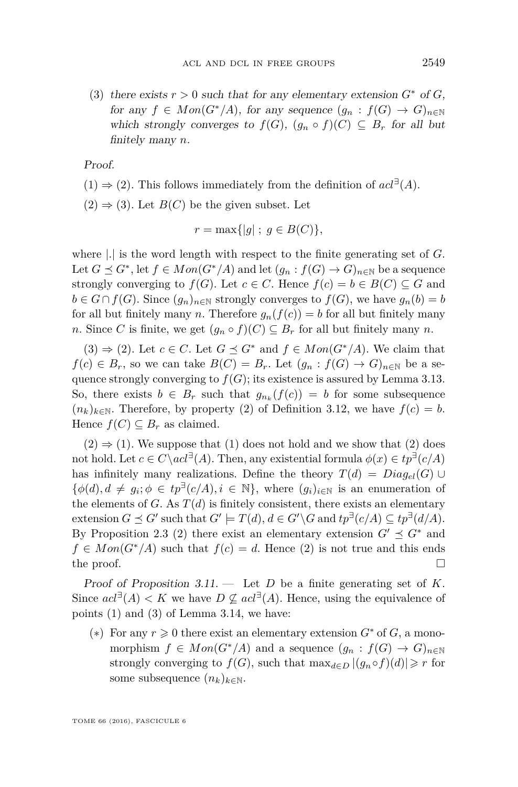<span id="page-25-0"></span>(3) there exists  $r > 0$  such that for any elementary extension  $G^*$  of  $G$ , for any  $f \in Mon(G^*/A)$ , for any sequence  $(g_n : f(G) \to G)_{n \in \mathbb{N}}$ which strongly converges to  $f(G)$ ,  $(g_n \circ f)(C) \subseteq B_r$  for all but finitely many *n*.

Proof.

- $(1) \Rightarrow (2)$ . This follows immediately from the definition of  $acl^{\exists}(A)$ .
- $(2) \Rightarrow (3)$ . Let  $B(C)$  be the given subset. Let

$$
r = \max\{|g| \; ; \; g \in B(C)\},\
$$

where |*.*| is the word length with respect to the finite generating set of *G*. Let  $G \preceq G^*$ , let  $f \in Mon(G^*/A)$  and let  $(g_n : f(G) \to G)_{n \in \mathbb{N}}$  be a sequence strongly converging to  $f(G)$ . Let  $c \in C$ . Hence  $f(c) = b \in B(C) \subseteq G$  and *b* ∈ *G* ∩ *f*(*G*). Since  $(q_n)_{n \in \mathbb{N}}$  strongly converges to *f*(*G*), we have  $q_n(b) = b$ for all but finitely many *n*. Therefore  $g_n(f(c)) = b$  for all but finitely many *n*. Since *C* is finite, we get  $(g_n \circ f)(C) \subseteq B_r$  for all but finitely many *n*.

 $(3) \Rightarrow (2)$ . Let  $c \in C$ . Let  $G \preceq G^*$  and  $f \in Mon(G^*/A)$ . We claim that  $f(c) \in B_r$ , so we can take  $B(C) = B_r$ . Let  $(g_n : f(G) \to G)_{n \in \mathbb{N}}$  be a sequence strongly converging to  $f(G)$ ; its existence is assured by Lemma [3.13.](#page-23-3) So, there exists  $b \in B_r$  such that  $g_{n_k}(f(c)) = b$  for some subsequence  $(n_k)_{k \in \mathbb{N}}$ . Therefore, by property [\(2\)](#page-23-1) of Definition [3.12,](#page-23-2) we have  $f(c) = b$ . Hence  $f(C) \subseteq B_r$  as claimed.

 $(2) \Rightarrow (1)$ . We suppose that  $(1)$  does not hold and we show that  $(2)$  does not hold. Let  $c \in C \setminus act^{\exists}(A)$ . Then, any existential formula  $\phi(x) \in tp^{\exists}(c/A)$ has infinitely many realizations. Define the theory  $T(d) = Diag_{el}(G)$  $\{\phi(d), d \neq g_i; \phi \in tp^{\exists}(c/A), i \in \mathbb{N}\},$  where  $(g_i)_{i \in \mathbb{N}}$  is an enumeration of the elements of *G*. As  $T(d)$  is finitely consistent, there exists an elementary extension  $G \preceq G'$  such that  $G' \models T(d)$ ,  $d \in G' \setminus G$  and  $tp^{\exists}(c/A) \subseteq tp^{\exists}(d/A)$ . By Proposition [2.3](#page-6-1) (2) there exist an elementary extension  $G' \preceq G^*$  and  $f \in Mon(G^*/A)$  such that  $f(c) = d$ . Hence (2) is not true and this ends the proof.  $\Box$ 

Proof of Proposition [3.11.](#page-23-4) — Let *D* be a finite generating set of *K*. Since  $acl^{\exists}(A) < K$  we have  $D \nsubseteq acl^{\exists}(A)$ . Hence, using the equivalence of points [\(1\)](#page-24-2) and [\(3\)](#page-25-0) of Lemma [3.14,](#page-24-3) we have:

(\*) For any  $r \geq 0$  there exist an elementary extension  $G^*$  of  $G$ , a monomorphism  $f \in Mon(G^*/A)$  and a sequence  $(g_n : f(G) \to G)_{n \in \mathbb{N}}$ strongly converging to  $f(G)$ , such that  $\max_{d \in D} |(g_n \circ f)(d)| \geq r$  for some subsequence  $(n_k)_{k \in \mathbb{N}}$ .

TOME 66 (2016), FASCICULE 6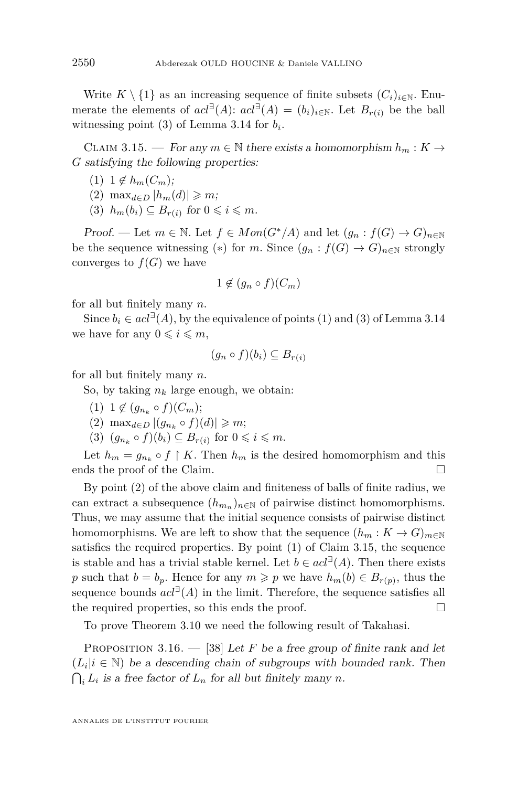Write  $K \setminus \{1\}$  as an increasing sequence of finite subsets  $(C_i)_{i \in \mathbb{N}}$ . Enumerate the elements of  $acl^{\exists}(A)$ :  $acl^{\exists}(A) = (b_i)_{i \in \mathbb{N}}$ . Let  $B_{r(i)}$  be the ball witnessing point  $(3)$  of Lemma [3.14](#page-24-3) for  $b_i$ .

<span id="page-26-2"></span>CLAIM 3.15. — For any  $m \in \mathbb{N}$  there exists a homomorphism  $h_m : K \to$ *G* satisfying the following properties:

- <span id="page-26-1"></span> $(1)$  1  $\notin h_m(C_m)$ ;
- <span id="page-26-0"></span>(2) max<sub>*d∈D*</sub>  $|h_m(d)| \ge m$ ;
- (3)  $h_m(b_i) \subseteq B_{r(i)}$  for  $0 \leq i \leq m$ .

Proof. — Let  $m \in \mathbb{N}$ . Let  $f \in Mon(G^*/A)$  and let  $(g_n : f(G) \to G)_{n \in \mathbb{N}}$ be the sequence witnessing (\*) for *m*. Since  $(q_n : f(G) \to G)_{n \in \mathbb{N}}$  strongly converges to  $f(G)$  we have

$$
1 \notin (g_n \circ f)(C_m)
$$

for all but finitely many *n*.

Since  $b_i \in \text{acl}^{\exists}(A)$ , by the equivalence of points [\(1\)](#page-24-2) and [\(3\)](#page-25-0) of Lemma [3.14](#page-24-3) we have for any  $0 \leq i \leq m$ ,

$$
(g_n \circ f)(b_i) \subseteq B_{r(i)}
$$

for all but finitely many *n*.

So, by taking  $n_k$  large enough, we obtain:

- $(1)$  1  $\notin (g_{n_k} \circ f)(C_m);$
- (2) max<sub>*d*∈*D*</sub>  $|(g_{n_k} \circ f)(d)| \ge m$ ;
- (3)  $(g_{n_k} \circ f)(b_i) \subseteq B_{r(i)}$  for  $0 \leq i \leq m$ .

Let  $h_m = g_{n_k} \circ f \upharpoonright K$ . Then  $h_m$  is the desired homomorphism and this ends the proof of the Claim.

By point [\(2\)](#page-26-0) of the above claim and finiteness of balls of finite radius, we can extract a subsequence  $(h_{m_n})_{n \in \mathbb{N}}$  of pairwise distinct homomorphisms. Thus, we may assume that the initial sequence consists of pairwise distinct homomorphisms. We are left to show that the sequence  $(h_m: K \to G)_{m \in \mathbb{N}}$ satisfies the required properties. By point [\(1\)](#page-26-1) of Claim [3.15,](#page-26-2) the sequence is stable and has a trivial stable kernel. Let  $b \in \text{acl}^{\exists}(A)$ . Then there exists *p* such that  $b = b_p$ . Hence for any  $m \geqslant p$  we have  $h_m(b) \in B_{r(p)}$ , thus the sequence bounds  $acl^{\exists}(A)$  in the limit. Therefore, the sequence satisfies all the required properties, so this ends the proof.  $\Box$ 

To prove Theorem [3.10](#page-23-5) we need the following result of Takahasi.

<span id="page-26-3"></span>PROPOSITION 3.16.  $-$  [\[38\]](#page-39-9) Let *F* be a free group of finite rank and let  $(L_i | i \in \mathbb{N})$  be a descending chain of subgroups with bounded rank. Then  $\bigcap_i L_i$  is a free factor of  $L_n$  for all but finitely many *n*.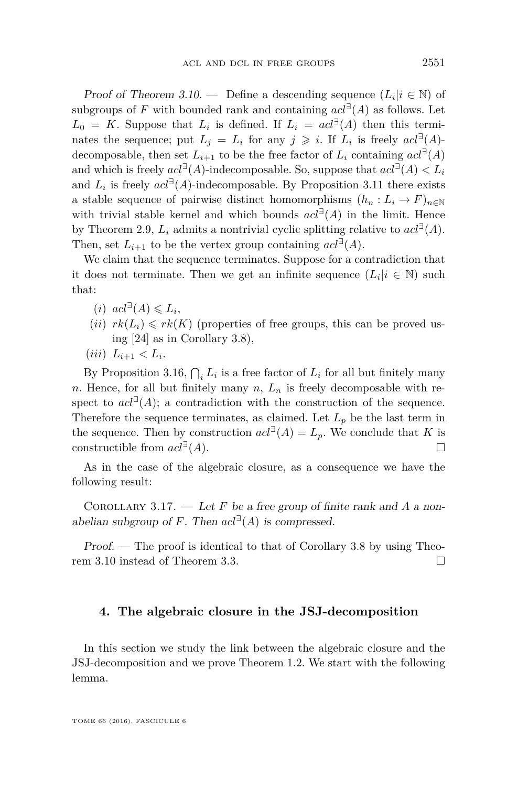Proof of Theorem [3.10.](#page-23-5) — Define a descending sequence  $(L_i | i \in \mathbb{N})$  of subgroups of *F* with bounded rank and containing  $acl^{\exists}(A)$  as follows. Let  $L_0 = K$ . Suppose that  $L_i$  is defined. If  $L_i = act^{\exists}(A)$  then this terminates the sequence; put  $L_j = L_i$  for any  $j \geq i$ . If  $L_i$  is freely  $acl^{\exists}(A)$ decomposable, then set  $L_{i+1}$  to be the free factor of  $L_i$  containing  $acl^{\exists}(A)$ and which is freely  $acl^{\exists}(A)$ -indecomposable. So, suppose that  $acl^{\exists}(A) < L_i$ and  $L_i$  is freely  $acl^{\exists}(A)$ -indecomposable. By Proposition [3.11](#page-23-4) there exists a stable sequence of pairwise distinct homomorphisms  $(h_n: L_i \to F)_{n \in \mathbb{N}}$ with trivial stable kernel and which bounds  $acl^{\exists}(A)$  in the limit. Hence by Theorem [2.9,](#page-10-0)  $L_i$  admits a nontrivial cyclic splitting relative to  $acl^{\exists}(A)$ . Then, set  $L_{i+1}$  to be the vertex group containing  $acl^{\exists}(A)$ .

We claim that the sequence terminates. Suppose for a contradiction that it does not terminate. Then we get an infinite sequence  $(L_i | i \in \mathbb{N})$  such that:

- $(i)$   $acl^{\exists}(A) \leq L_i,$
- $(ii)$   $rk(L_i) \leqslant rk(K)$  (properties of free groups, this can be proved using [\[24\]](#page-38-21) as in Corollary [3.8\)](#page-22-0),
- $(iii)$   $L_{i+1} < L_i$ .

By Proposition [3.16,](#page-26-3)  $\bigcap_i L_i$  is a free factor of  $L_i$  for all but finitely many *n*. Hence, for all but finitely many *n*,  $L_n$  is freely decomposable with respect to  $acl^{\exists}(A)$ ; a contradiction with the construction of the sequence. Therefore the sequence terminates, as claimed. Let  $L_p$  be the last term in the sequence. Then by construction  $acl^{\exists}(A) = L_p$ . We conclude that *K* is constructible from  $acl^{\exists}(A)$ . (*A*).

As in the case of the algebraic closure, as a consequence we have the following result:

COROLLARY 3.17.  $\qquad$  Let *F* be a free group of finite rank and *A* a nonabelian subgroup of *F*. Then  $acl^{\exists}(A)$  is compressed.

Proof. — The proof is identical to that of Corollary [3.8](#page-22-0) by using Theorem [3.10](#page-23-5) instead of Theorem [3.3.](#page-18-0)

#### <span id="page-27-0"></span>**4. The algebraic closure in the JSJ-decomposition**

In this section we study the link between the algebraic closure and the JSJ-decomposition and we prove Theorem [1.2.](#page-4-0) We start with the following lemma.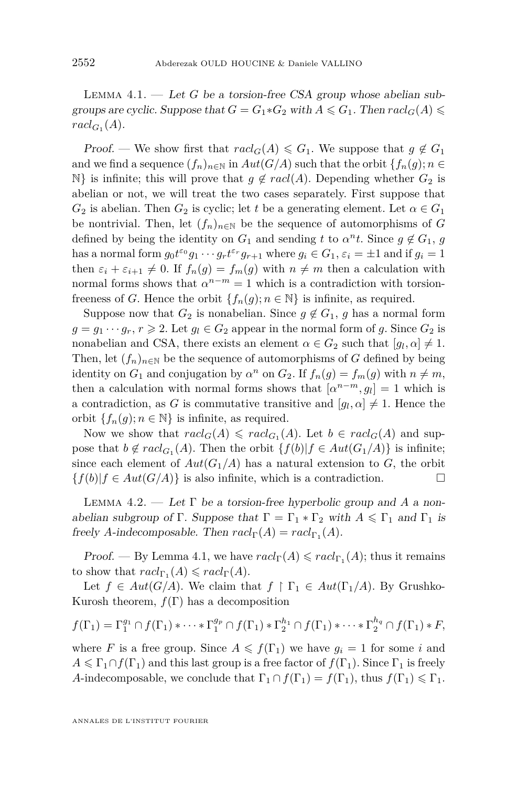<span id="page-28-0"></span>LEMMA  $4.1.$  — Let *G* be a torsion-free CSA group whose abelian subgroups are cyclic. Suppose that  $G = G_1 * G_2$  with  $A \le G_1$ . Then  $\text{rad}_G(A) \le$  $rac{d_{G_1}(A)}{A}$ 

Proof. — We show first that  $\text{rad}_G(A) \leq G_1$ . We suppose that  $g \notin G_1$ and we find a sequence  $(f_n)_{n\in\mathbb{N}}$  in  $Aut(G/A)$  such that the orbit  $\{f_n(g); n \in$ N} is infinite; this will prove that  $g \notin \text{rad}(A)$ . Depending whether  $G_2$  is abelian or not, we will treat the two cases separately. First suppose that  $G_2$  is abelian. Then  $G_2$  is cyclic; let *t* be a generating element. Let  $\alpha \in G_1$ be nontrivial. Then, let  $(f_n)_{n\in\mathbb{N}}$  be the sequence of automorphisms of *G* defined by being the identity on  $G_1$  and sending  $t$  to  $\alpha^n t$ . Since  $g \notin G_1$ ,  $g$ has a normal form  $g_0 t^{e_0} g_1 \cdots g_r t^{e_r} g_{r+1}$  where  $g_i \in G_1$ ,  $\varepsilon_i = \pm 1$  and if  $g_i = 1$ then  $\varepsilon_i + \varepsilon_{i+1} \neq 0$ . If  $f_n(g) = f_m(g)$  with  $n \neq m$  then a calculation with normal forms shows that  $\alpha^{n-m} = 1$  which is a contradiction with torsionfreeness of *G*. Hence the orbit  $\{f_n(g); n \in \mathbb{N}\}\$ is infinite, as required.

Suppose now that  $G_2$  is nonabelian. Since  $g \notin G_1$ ,  $g$  has a normal form  $g = g_1 \cdots g_r, r \geq 2$ . Let  $g_l \in G_2$  appear in the normal form of *g*. Since  $G_2$  is nonabelian and CSA, there exists an element  $\alpha \in G_2$  such that  $[g_l, \alpha] \neq 1$ . Then, let  $(f_n)_{n\in\mathbb{N}}$  be the sequence of automorphisms of *G* defined by being identity on  $G_1$  and conjugation by  $\alpha^n$  on  $G_2$ . If  $f_n(g) = f_m(g)$  with  $n \neq m$ , then a calculation with normal forms shows that  $[a^{n-m}, g_l] = 1$  which is a contradiction, as *G* is commutative transitive and  $[g_l, \alpha] \neq 1$ . Hence the orbit  ${f_n(g)$ ;  $n \in \mathbb{N}$  is infinite, as required.

Now we show that  $\text{rad}_G(A) \leqslant \text{rad}_{G_1}(A)$ . Let  $b \in \text{rad}_G(A)$  and suppose that  $b \notin \text{rad}_{G_1}(A)$ . Then the orbit  $\{f(b)|f \in \text{Aut}(G_1/A)\}$  is infinite; since each element of  $Aut(G_1/A)$  has a natural extension to *G*, the orbit  ${f(b)|f \in Aut(G/A)}$  is also infinite, which is a contradiction.

Lemma 4.2. — Let Γ be a torsion-free hyperbolic group and *A* a nonabelian subgroup of Γ. Suppose that  $\Gamma = \Gamma_1 * \Gamma_2$  with  $A \leq \Gamma_1$  and  $\Gamma_1$  is freely *A*-indecomposable. Then  $\operatorname{ract}_{\Gamma}(A) = \operatorname{ract}_{\Gamma_1}(A)$ .

Proof. — By Lemma [4.1,](#page-28-0) we have  $\operatorname{rad}_{\Gamma}(A) \leqslant \operatorname{rad}_{\Gamma_1}(A)$ ; thus it remains to show that  $\operatorname{rad}_{\Gamma_1}(A) \leqslant \operatorname{rad}_{\Gamma}(A)$ .

Let  $f \in Aut(G/A)$ . We claim that  $f \restriction \Gamma_1 \in Aut(\Gamma_1/A)$ . By Grushko-Kurosh theorem,  $f(\Gamma)$  has a decomposition

$$
f(\Gamma_1)=\Gamma_1^{g_1}\cap f(\Gamma_1)*\cdots*\Gamma_1^{g_p}\cap f(\Gamma_1)*\Gamma_2^{h_1}\cap f(\Gamma_1)*\cdots*\Gamma_2^{h_q}\cap f(\Gamma_1)*F,
$$

where *F* is a free group. Since  $A \leq f(\Gamma_1)$  we have  $g_i = 1$  for some *i* and  $A \leq \Gamma_1 \cap f(\Gamma_1)$  and this last group is a free factor of  $f(\Gamma_1)$ . Since  $\Gamma_1$  is freely *A*-indecomposable, we conclude that  $\Gamma_1 \cap f(\Gamma_1) = f(\Gamma_1)$ , thus  $f(\Gamma_1) \leq \Gamma_1$ .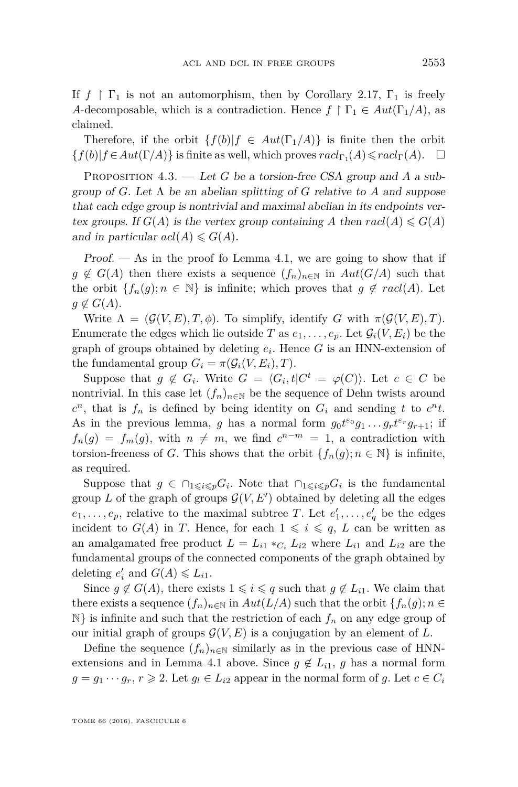If  $f \restriction \Gamma_1$  is not an automorphism, then by Corollary [2.17,](#page-13-1)  $\Gamma_1$  is freely *A*-decomposable, which is a contradiction. Hence  $f \restriction \Gamma_1 \in Aut(\Gamma_1/A)$ , as claimed.

Therefore, if the orbit  $\{f(b)|f \in Aut(\Gamma_1/A)\}\$ is finite then the orbit  ${f(b)| f ∈ Aut(Γ/A)}$  is finite as well, which proves  $rac{l_{\Gamma_1}(A) ≤ rad_{\Gamma}(A).$  □

<span id="page-29-0"></span>PROPOSITION 4.3. — Let *G* be a torsion-free CSA group and *A* a subgroup of *G*. Let  $\Lambda$  be an abelian splitting of *G* relative to *A* and suppose that each edge group is nontrivial and maximal abelian in its endpoints vertex groups. If  $G(A)$  is the vertex group containing A then  $rac{(A) \le G(A)}{A}$ and in particular  $acl(A) \leqslant G(A)$ .

Proof.  $\sim$  As in the proof fo Lemma [4.1,](#page-28-0) we are going to show that if  $g \notin G(A)$  then there exists a sequence  $(f_n)_{n \in \mathbb{N}}$  in  $Aut(G/A)$  such that the orbit  ${f_n(g) : n \in \mathbb{N}}$  is infinite; which proves that  $g \notin \mathit{racl(A)}$ . Let  $g \notin G(A)$ .

Write  $\Lambda = (\mathcal{G}(V, E), T, \phi)$ . To simplify, identify *G* with  $\pi(\mathcal{G}(V, E), T)$ . Enumerate the edges which lie outside *T* as  $e_1, \ldots, e_p$ . Let  $\mathcal{G}_i(V, E_i)$  be the graph of groups obtained by deleting *e<sup>i</sup>* . Hence *G* is an HNN-extension of the fundamental group  $G_i = \pi(\mathcal{G}_i(V, E_i), T)$ .

Suppose that  $g \notin G_i$ . Write  $G = \langle G_i, t | C^t = \varphi(C) \rangle$ . Let  $c \in C$  be nontrivial. In this case let  $(f_n)_{n\in\mathbb{N}}$  be the sequence of Dehn twists around  $c^n$ , that is  $f_n$  is defined by being identity on  $G_i$  and sending *t* to  $c^n t$ . As in the previous lemma, *g* has a normal form  $g_0 t^{\varepsilon_0} g_1 \dots g_r t^{\varepsilon_r} g_{r+1}$ ; if  $f_n(g) = f_m(g)$ , with  $n \neq m$ , we find  $c^{n-m} = 1$ , a contradiction with torsion-freeness of *G*. This shows that the orbit  ${f_n(g)}$ ;  $n \in \mathbb{N}$  is infinite, as required.

Suppose that  $g \in \bigcap_{1 \leqslant i \leqslant p} G_i$ . Note that  $\bigcap_{1 \leqslant i \leqslant p} G_i$  is the fundamental group *L* of the graph of groups  $\mathcal{G}(V, E')$  obtained by deleting all the edges  $e_1, \ldots, e_p$ , relative to the maximal subtree *T*. Let  $e'_1, \ldots, e'_q$  be the edges incident to  $G(A)$  in *T*. Hence, for each  $1 \leq i \leq q$ , *L* can be written as an amalgamated free product  $L = L_{i1} *_{C_i} L_{i2}$  where  $L_{i1}$  and  $L_{i2}$  are the fundamental groups of the connected components of the graph obtained by deleting  $e'_i$  and  $G(A) \leq L_{i1}$ .

Since  $g \notin G(A)$ , there exists  $1 \leq i \leq q$  such that  $g \notin L_{i1}$ . We claim that there exists a sequence  $(f_n)_{n\in\mathbb{N}}$  in  $Aut(L/A)$  such that the orbit  $\{f_n(g); n \in$  $\mathbb{N}$  is infinite and such that the restriction of each  $f_n$  on any edge group of our initial graph of groups  $\mathcal{G}(V, E)$  is a conjugation by an element of  $L$ .

Define the sequence  $(f_n)_{n\in\mathbb{N}}$  similarly as in the previous case of HNN-extensions and in Lemma [4.1](#page-28-0) above. Since  $g \notin L_{i1}$ , *g* has a normal form  $g = g_1 \cdots g_r, r \ge 2$ . Let  $g_l \in L_{i2}$  appear in the normal form of *g*. Let  $c \in C_i$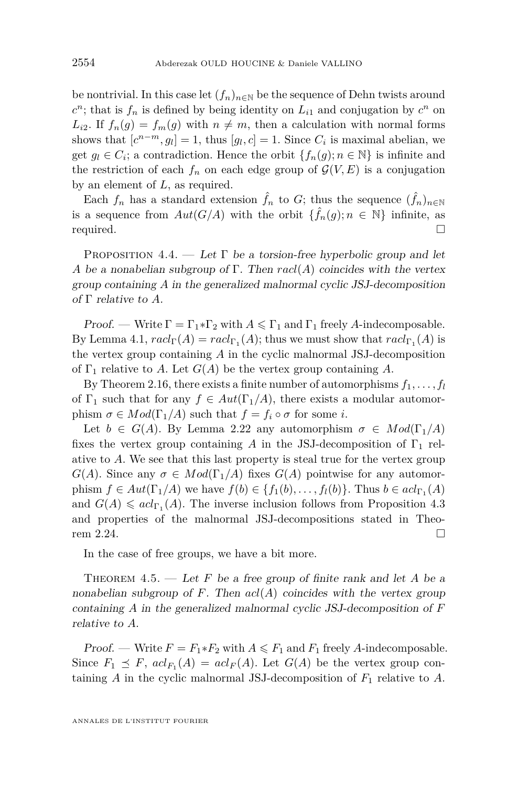be nontrivial. In this case let  $(f_n)_{n\in\mathbb{N}}$  be the sequence of Dehn twists around  $c^n$ ; that is  $f_n$  is defined by being identity on  $L_{i1}$  and conjugation by  $c^n$  on  $L_{i2}$ . If  $f_n(g) = f_m(g)$  with  $n \neq m$ , then a calculation with normal forms shows that  $[c^{n-m}, g_l] = 1$ , thus  $[g_l, c] = 1$ . Since  $C_i$  is maximal abelian, we get  $g_l \in C_i$ ; a contradiction. Hence the orbit  $\{f_n(g); n \in \mathbb{N}\}\$ is infinite and the restriction of each  $f_n$  on each edge group of  $\mathcal{G}(V, E)$  is a conjugation by an element of *L*, as required.

Each  $f_n$  has a standard extension  $\hat{f}_n$  to  $G$ ; thus the sequence  $(\hat{f}_n)_{n\in\mathbb{N}}$ is a sequence from  $Aut(G/A)$  with the orbit  $\{\hat{f}_n(g); n \in \mathbb{N}\}\$  infinite, as required.  $\Box$ 

<span id="page-30-0"></span>PROPOSITION 4.4. — Let  $\Gamma$  be a torsion-free hyperbolic group and let *A* be a nonabelian subgroup of Γ. Then *racl*(*A*) coincides with the vertex group containing *A* in the generalized malnormal cyclic JSJ-decomposition of Γ relative to *A*.

Proof. — Write  $\Gamma = \Gamma_1 * \Gamma_2$  with  $A \leq \Gamma_1$  and  $\Gamma_1$  freely A-indecomposable. By Lemma [4.1,](#page-28-0)  $rac{\text{d}\Gamma(A)}{=}rac{\text{d}\Gamma_1(A)}$ ; thus we must show that  $rac{\text{d}\Gamma_1(A)}{=}$  is the vertex group containing *A* in the cyclic malnormal JSJ-decomposition of  $\Gamma_1$  relative to *A*. Let  $G(A)$  be the vertex group containing *A*.

By Theorem [2.16,](#page-13-0) there exists a finite number of automorphisms  $f_1, \ldots, f_l$ of  $\Gamma_1$  such that for any  $f \in Aut(\Gamma_1/A)$ , there exists a modular automorphism  $\sigma \in Mod(\Gamma_1/A)$  such that  $f = f_i \circ \sigma$  for some *i*.

Let  $b \in G(A)$ . By Lemma [2.22](#page-15-0) any automorphism  $\sigma \in Mod(\Gamma_1/A)$ fixes the vertex group containing *A* in the JSJ-decomposition of  $\Gamma_1$  relative to *A*. We see that this last property is steal true for the vertex group *G*(*A*). Since any  $\sigma \in Mod(\Gamma_1/A)$  fixes *G*(*A*) pointwise for any automorphism  $f \in Aut(\Gamma_1/A)$  we have  $f(b) \in \{f_1(b), \ldots, f_l(b)\}$ . Thus  $b \in acl_{\Gamma_1}(A)$ and  $G(A) \leqslant acl_{\Gamma_1}(A)$ . The inverse inclusion follows from Proposition [4.3](#page-29-0) and properties of the malnormal JSJ-decompositions stated in Theo-rem [2.24.](#page-17-2)

In the case of free groups, we have a bit more.

THEOREM  $4.5.$  — Let F be a free group of finite rank and let A be a nonabelian subgroup of  $F$ . Then  $acl(A)$  coincides with the vertex group containing *A* in the generalized malnormal cyclic JSJ-decomposition of *F* relative to *A*.

*Proof.* — Write  $F = F_1 * F_2$  with  $A \leq F_1$  and  $F_1$  freely *A*-indecomposable. Since  $F_1 \preceq F$ ,  $acl_{F_1}(A) = acl_F(A)$ . Let  $G(A)$  be the vertex group containing *A* in the cyclic malnormal JSJ-decomposition of *F*<sup>1</sup> relative to *A*.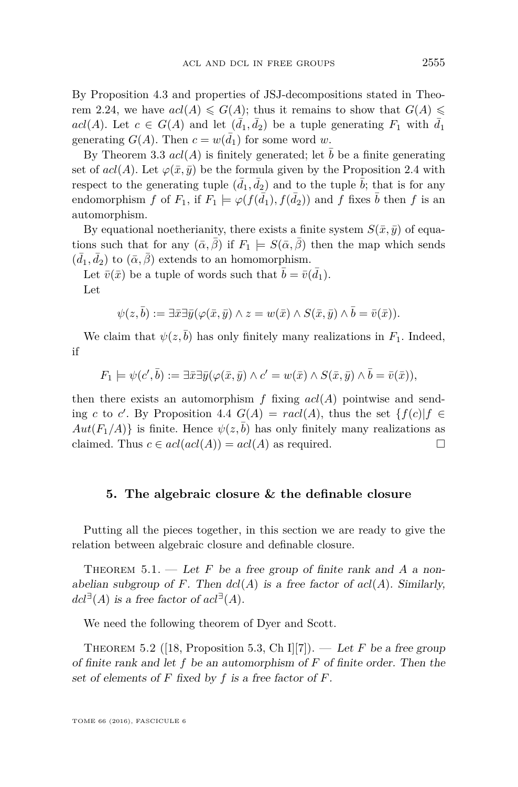By Proposition [4.3](#page-29-0) and properties of JSJ-decompositions stated in Theo-rem [2.24,](#page-17-2) we have  $acl(A) \leqslant G(A)$ ; thus it remains to show that  $G(A) \leqslant$  $acl(A)$ . Let  $c \in G(A)$  and let  $(\bar{d}_1, \bar{d}_2)$  be a tuple generating  $F_1$  with  $\bar{d}_1$ generating  $G(A)$ . Then  $c = w(\bar{d}_1)$  for some word *w*.

By Theorem [3.3](#page-18-0)  $acl(A)$  is finitely generated; let  $\bar{b}$  be a finite generating set of  $acl(A)$ . Let  $\varphi(\bar{x}, \bar{y})$  be the formula given by the Proposition [2.4](#page-8-0) with respect to the generating tuple  $(\bar{d}_1, \bar{d}_2)$  and to the tuple  $\bar{b}$ ; that is for any endomorphism *f* of  $F_1$ , if  $F_1 \models \varphi(f(\bar{d}_1), f(\bar{d}_2))$  and *f* fixes  $\bar{b}$  then *f* is an automorphism.

By equational noetherianity, there exists a finite system  $S(\bar{x}, \bar{y})$  of equations such that for any  $(\bar{\alpha}, \bar{\beta})$  if  $F_1 \models S(\bar{\alpha}, \bar{\beta})$  then the map which sends  $(\bar{d}_1, \bar{d}_2)$  to  $(\bar{\alpha}, \bar{\beta})$  extends to an homomorphism.

Let  $\bar{v}(\bar{x})$  be a tuple of words such that  $\bar{b} = \bar{v}(\bar{d}_1)$ . Let

$$
\psi(z,\overline{b}) := \exists \overline{x} \exists \overline{y} (\varphi(\overline{x},\overline{y}) \land z = w(\overline{x}) \land S(\overline{x},\overline{y}) \land \overline{b} = \overline{v}(\overline{x})).
$$

We claim that  $\psi(z, \bar{b})$  has only finitely many realizations in  $F_1$ . Indeed, if

$$
F_1 \models \psi(c', \overline{b}) := \exists \overline{x} \exists \overline{y} (\varphi(\overline{x}, \overline{y}) \land c' = w(\overline{x}) \land S(\overline{x}, \overline{y}) \land \overline{b} = \overline{v}(\overline{x})),
$$

then there exists an automorphism  $f$  fixing  $acl(A)$  pointwise and sending *c* to *c'*. By Proposition [4.4](#page-30-0)  $G(A) = rad(A)$ , thus the set  $\{f(c)|f \in$  $Aut(F_1/A)$  is finite. Hence  $\psi(z,\bar{b})$  has only finitely many realizations as claimed. Thus  $c \in \text{acl}(\text{acl}(A)) = \text{acl}(A)$  as required.

#### <span id="page-31-0"></span>**5. The algebraic closure & the definable closure**

Putting all the pieces together, in this section we are ready to give the relation between algebraic closure and definable closure.

<span id="page-31-1"></span>THEOREM  $5.1.$  — Let F be a free group of finite rank and A a nonabelian subgroup of *F*. Then  $dcl(A)$  is a free factor of  $acl(A)$ . Similarly,  $dcl^{\exists}(A)$  is a free factor of  $acl^{\exists}(A)$ .

We need the following theorem of Dyer and Scott.

<span id="page-31-2"></span>THEOREM 5.2 ([\[18,](#page-38-23) Proposition 5.3, Ch I][\[7\]](#page-38-24)). — Let *F* be a free group of finite rank and let *f* be an automorphism of *F* of finite order. Then the set of elements of *F* fixed by *f* is a free factor of *F*.

TOME 66 (2016), FASCICULE 6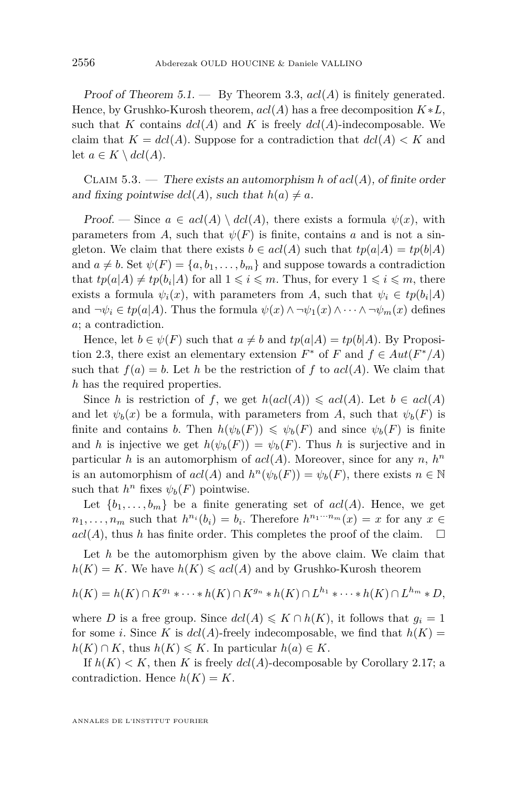Proof of Theorem [5.1.](#page-31-1) — By Theorem [3.3,](#page-18-0) *acl*(*A*) is finitely generated. Hence, by Grushko-Kurosh theorem,  $acl(A)$  has a free decomposition  $K*L$ , such that *K* contains  $dcl(A)$  and *K* is freely  $dcl(A)$ -indecomposable. We claim that  $K = dcl(A)$ . Suppose for a contradiction that  $dcl(A) < K$  and let  $a \in K \setminus dcl(A)$ .

<span id="page-32-0"></span>Claim 5.3. — There exists an automorphism *h* of *acl*(*A*), of finite order and fixing pointwise  $dcl(A)$ , such that  $h(a) \neq a$ .

Proof. — Since  $a \in \text{acl}(A) \setminus \text{dcl}(A)$ , there exists a formula  $\psi(x)$ , with parameters from *A*, such that  $\psi(F)$  is finite, contains *a* and is not a singleton. We claim that there exists  $b \in \text{acl}(A)$  such that  $tp(a|A) = tp(b|A)$ and  $a \neq b$ . Set  $\psi(F) = \{a, b_1, \ldots, b_m\}$  and suppose towards a contradiction that  $tp(a|A) \neq tp(b_i|A)$  for all  $1 \leqslant i \leqslant m$ . Thus, for every  $1 \leqslant i \leqslant m$ , there exists a formula  $\psi_i(x)$ , with parameters from *A*, such that  $\psi_i \in tp(b_i|A)$ and  $\neg \psi_i \in tp(a|A)$ . Thus the formula  $\psi(x) \wedge \neg \psi_1(x) \wedge \cdots \wedge \neg \psi_m(x)$  defines *a*; a contradiction.

Hence, let  $b \in \psi(F)$  such that  $a \neq b$  and  $tp(a|A) = tp(b|A)$ . By Proposi-tion [2.3,](#page-6-1) there exist an elementary extension  $F^*$  of  $F$  and  $f \in Aut(F^*/A)$ such that  $f(a) = b$ . Let *h* be the restriction of *f* to  $acl(A)$ . We claim that *h* has the required properties.

Since *h* is restriction of *f*, we get  $h(acl(A)) \leqslant acl(A)$ . Let  $b \in acl(A)$ and let  $\psi_b(x)$  be a formula, with parameters from *A*, such that  $\psi_b(F)$  is finite and contains *b*. Then  $h(\psi_b(F)) \leq \psi_b(F)$  and since  $\psi_b(F)$  is finite and *h* is injective we get  $h(\psi_b(F)) = \psi_b(F)$ . Thus *h* is surjective and in particular *h* is an automorphism of  $acl(A)$ . Moreover, since for any *n*,  $h^n$ is an automorphism of  $acl(A)$  and  $h^{n}(\psi_{b}(F)) = \psi_{b}(F)$ , there exists  $n \in \mathbb{N}$ such that  $h^n$  fixes  $\psi_b(F)$  pointwise.

Let  $\{b_1, \ldots, b_m\}$  be a finite generating set of  $acl(A)$ . Hence, we get  $n_1, \ldots, n_m$  such that  $h^{n_i}(b_i) = b_i$ . Therefore  $h^{n_1 \cdots n_m}(x) = x$  for any  $x \in$  $acl(A)$ , thus *h* has finite order. This completes the proof of the claim.  $\square$ 

Let *h* be the automorphism given by the above claim. We claim that  $h(K) = K$ . We have  $h(K) \leqslant acl(A)$  and by Grushko-Kurosh theorem

$$
h(K) = h(K) \cap K^{g_1} * \cdots * h(K) \cap K^{g_n} * h(K) \cap L^{h_1} * \cdots * h(K) \cap L^{h_m} * D,
$$

where *D* is a free group. Since  $dcl(A) \leq K \cap h(K)$ , it follows that  $g_i = 1$ for some *i*. Since *K* is  $dcl(A)$ -freely indecomposable, we find that  $h(K)$  =  $h(K) \cap K$ , thus  $h(K) \leq K$ . In particular  $h(a) \in K$ .

If  $h(K) < K$ , then K is freely  $dcl(A)$ -decomposable by Corollary [2.17;](#page-13-1) a contradiction. Hence  $h(K) = K$ .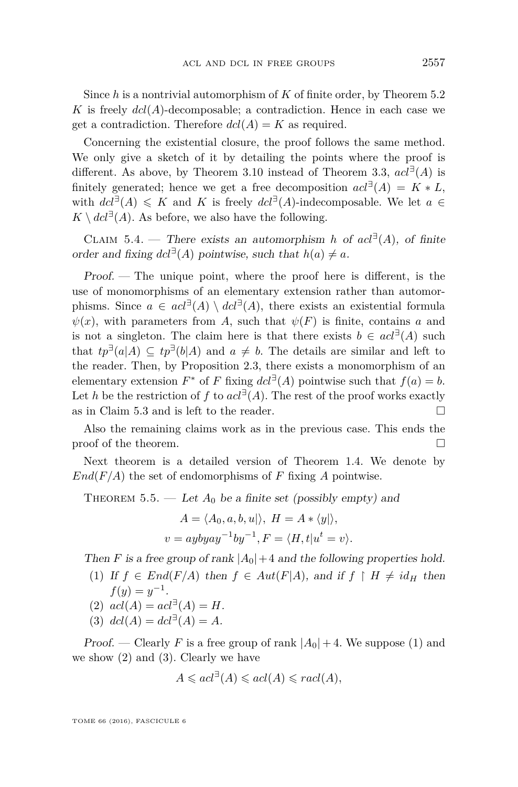Since *h* is a nontrivial automorphism of *K* of finite order, by Theorem [5.2](#page-31-2) *K* is freely  $dcl(A)$ -decomposable; a contradiction. Hence in each case we get a contradiction. Therefore  $dcl(A) = K$  as required.

Concerning the existential closure, the proof follows the same method. We only give a sketch of it by detailing the points where the proof is different. As above, by Theorem [3.10](#page-23-5) instead of Theorem [3.3,](#page-18-0)  $acl^{\exists}(A)$  is finitely generated; hence we get a free decomposition  $acl^{\exists}(A) = K * L$ , with  $dcl^{\exists}(A) \leq K$  and K is freely  $dcl^{\exists}(A)$ -indecomposable. We let  $a \in$  $K \setminus dcl^{\exists}(A)$ . As before, we also have the following.

CLAIM 5.4. — There exists an automorphism *h* of  $acl^{\exists}(A)$ , of finite order and fixing  $dcl^{\exists}(A)$  pointwise, such that  $h(a) \neq a$ .

Proof. — The unique point, where the proof here is different, is the use of monomorphisms of an elementary extension rather than automorphisms. Since  $a \in \text{acl}^{\exists}(A) \setminus \text{dcl}^{\exists}(A)$ , there exists an existential formula  $\psi(x)$ , with parameters from *A*, such that  $\psi(F)$  is finite, contains *a* and is not a singleton. The claim here is that there exists  $b \in \text{acl}^{\exists}(A)$  such that  $tp^{\exists}(a|A) \subseteq tp^{\exists}(b|A)$  and  $a \neq b$ . The details are similar and left to the reader. Then, by Proposition [2.3,](#page-6-1) there exists a monomorphism of an elementary extension  $F^*$  of  $F$  fixing  $\det^{\exists}(A)$  pointwise such that  $f(a) = b$ . Let *h* be the restriction of *f* to  $acl^{\exists}(A)$ . The rest of the proof works exactly as in Claim [5.3](#page-32-0) and is left to the reader.

Also the remaining claims work as in the previous case. This ends the proof of the theorem.  $\Box$ 

Next theorem is a detailed version of Theorem [1.4.](#page-5-2) We denote by  $End(F/A)$  the set of endomorphisms of *F* fixing *A* pointwise.

<span id="page-33-0"></span>THEOREM 5.5. — Let  $A_0$  be a finite set (possibly empty) and

$$
A = \langle A_0, a, b, u | \rangle, H = A * \langle y | \rangle,
$$
  

$$
v = aybyay^{-1}by^{-1}, F = \langle H, t | u^t = v \rangle.
$$

Then *F* is a free group of rank  $|A_0|+4$  and the following properties hold.

- (1) If  $f \in End(F/A)$  then  $f \in Aut(F|A)$ , and if  $f \upharpoonright H \neq id_H$  then  $f(y) = y^{-1}$ .
- (2)  $acl(A) = acl^{\exists}(A) = H.$
- (3)  $dcl(A) = dcl^{\exists}(A) = A$ .

*Proof.* — Clearly *F* is a free group of rank  $|A_0| + 4$ . We suppose (1) and we show  $(2)$  and  $(3)$ . Clearly we have

$$
A \leqslant acl^{\exists}(A) \leqslant acl(A) \leqslant real(A),
$$

TOME 66 (2016), FASCICULE 6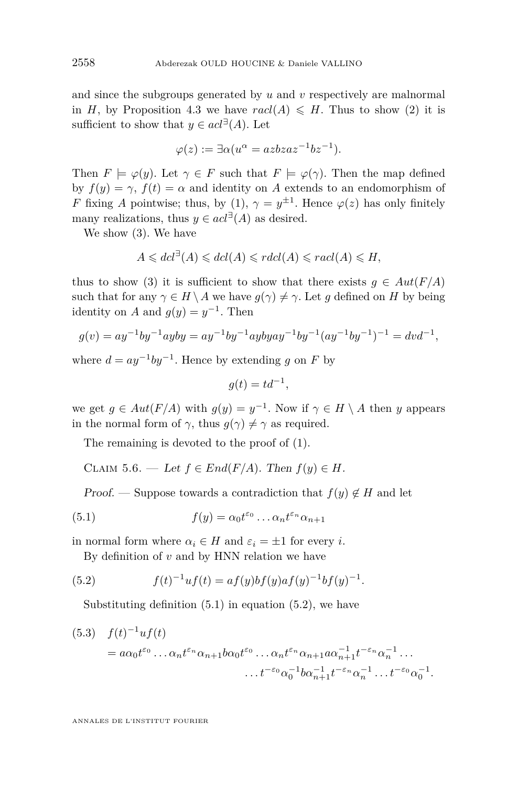and since the subgroups generated by *u* and *v* respectively are malnormal in *H*, by Proposition [4.3](#page-29-0) we have  $\text{rad}(A) \leq H$ . Thus to show (2) it is sufficient to show that  $y \in act^{\exists}(A)$ . Let

$$
\varphi(z) := \exists \alpha (u^{\alpha} = azbzaz^{-1}bz^{-1}).
$$

Then  $F \models \varphi(y)$ . Let  $\gamma \in F$  such that  $F \models \varphi(\gamma)$ . Then the map defined by  $f(y) = \gamma$ ,  $f(t) = \alpha$  and identity on *A* extends to an endomorphism of *F* fixing *A* pointwise; thus, by (1),  $\gamma = y^{\pm 1}$ . Hence  $\varphi(z)$  has only finitely many realizations, thus  $y \in act^{\exists}(A)$  as desired.

We show (3). We have

$$
A \leqslant dcl^{\exists}(A) \leqslant dcl(A) \leqslant r dcl(A) \leqslant r acl(A) \leqslant H,
$$

thus to show (3) it is sufficient to show that there exists  $g \in Aut(F/A)$ such that for any  $\gamma \in H \setminus A$  we have  $q(\gamma) \neq \gamma$ . Let *q* defined on *H* by being identity on *A* and  $g(y) = y^{-1}$ . Then

$$
g(v) = ay^{-1}by^{-1}ayby = ay^{-1}by^{-1}aybyay^{-1}by^{-1}(ay^{-1}by^{-1})^{-1} = dvd^{-1},
$$

where  $d = ay^{-1}by^{-1}$ . Hence by extending *g* on *F* by

$$
g(t) = td^{-1},
$$

we get  $g \in Aut(F/A)$  with  $g(y) = y^{-1}$ . Now if  $\gamma \in H \setminus A$  then *y* appears in the normal form of  $\gamma$ , thus  $g(\gamma) \neq \gamma$  as required.

The remaining is devoted to the proof of (1).

<span id="page-34-3"></span>CLAIM 5.6. — Let  $f \in End(F/A)$ . Then  $f(y) \in H$ .

<span id="page-34-0"></span>Proof. — Suppose towards a contradiction that  $f(y) \notin H$  and let

(5.1) 
$$
f(y) = \alpha_0 t^{\varepsilon_0} \dots \alpha_n t^{\varepsilon_n} \alpha_{n+1}
$$

in normal form where  $\alpha_i \in H$  and  $\varepsilon_i = \pm 1$  for every *i*.

<span id="page-34-1"></span>By definition of  $v$  and by HNN relation we have

(5.2) 
$$
f(t)^{-1}uf(t) = af(y)bf(y)af(y)^{-1}bf(y)^{-1}.
$$

Substituting definition  $(5.1)$  in equation  $(5.2)$ , we have

<span id="page-34-2"></span>
$$
(5.3) \quad f(t)^{-1} u f(t) = a \alpha_0 t^{\varepsilon_0} \dots \alpha_n t^{\varepsilon_n} \alpha_{n+1} b \alpha_0 t^{\varepsilon_0} \dots \alpha_n t^{\varepsilon_n} \alpha_{n+1} a \alpha_{n+1}^{-1} t^{-\varepsilon_n} \alpha_n^{-1} \dots \dots t^{-\varepsilon_0} \alpha_0^{-1} b \alpha_{n+1}^{-1} t^{-\varepsilon_n} \alpha_n^{-1} \dots t^{-\varepsilon_0} \alpha_0^{-1}.
$$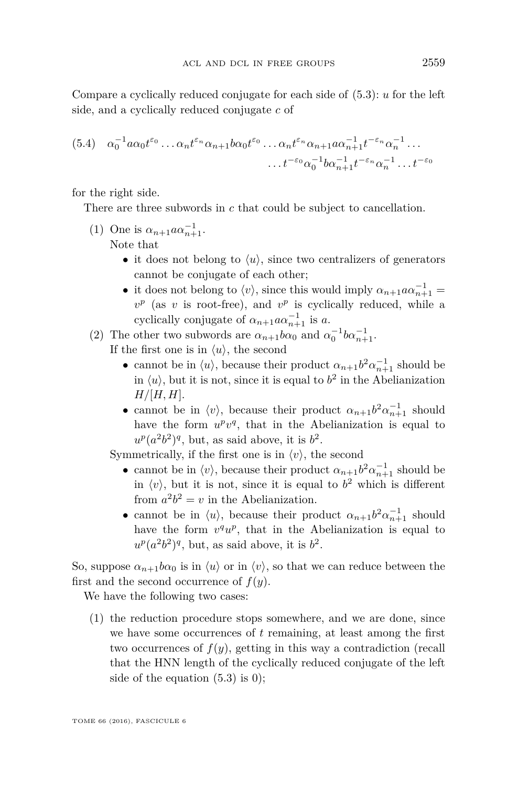Compare a cyclically reduced conjugate for each side of [\(5.3\)](#page-34-2): *u* for the left side, and a cyclically reduced conjugate *c* of

$$
(5.4) \quad \alpha_0^{-1} a \alpha_0 t^{\varepsilon_0} \dots \alpha_n t^{\varepsilon_n} \alpha_{n+1} b \alpha_0 t^{\varepsilon_0} \dots \alpha_n t^{\varepsilon_n} \alpha_{n+1} a \alpha_{n+1}^{-1} t^{-\varepsilon_n} \alpha_n^{-1} \dots
$$

$$
\dots t^{-\varepsilon_0} \alpha_0^{-1} b \alpha_{n+1}^{-1} t^{-\varepsilon_n} \alpha_n^{-1} \dots t^{-\varepsilon_0}
$$

for the right side.

There are three subwords in *c* that could be subject to cancellation.

- (1) One is  $\alpha_{n+1} \alpha \alpha_{n+1}^{-1}$ . Note that
	- it does not belong to  $\langle u \rangle$ , since two centralizers of generators cannot be conjugate of each other;
	- it does not belong to  $\langle v \rangle$ , since this would imply  $\alpha_{n+1} a \alpha_{n+1}^{-1} =$  $v^p$  (as *v* is root-free), and  $v^p$  is cyclically reduced, while a cyclically conjugate of  $\alpha_{n+1} \alpha \alpha_{n+1}^{-1}$  is *a*.
- (2) The other two subwords are  $\alpha_{n+1}b\alpha_0$  and  $\alpha_0^{-1}b\alpha_{n+1}^{-1}$ . If the first one is in  $\langle u \rangle$ , the second
	- cannot be in  $\langle u \rangle$ , because their product  $\alpha_{n+1} b^2 \alpha_{n+1}^{-1}$  should be in  $\langle u \rangle$ , but it is not, since it is equal to  $b^2$  in the Abelianization *H/*[*H, H*].
	- cannot be in  $\langle v \rangle$ , because their product  $\alpha_{n+1} b^2 \alpha_{n+1}^{-1}$  should have the form  $u^pv^q$ , that in the Abelianization is equal to  $u^p(a^2b^2)^q$ , but, as said above, it is  $b^2$ .

Symmetrically, if the first one is in  $\langle v \rangle$ , the second

- cannot be in  $\langle v \rangle$ , because their product  $\alpha_{n+1} b^2 \alpha_{n+1}^{-1}$  should be in  $\langle v \rangle$ , but it is not, since it is equal to  $b^2$  which is different from  $a^2b^2 = v$  in the Abelianization.
- cannot be in  $\langle u \rangle$ , because their product  $\alpha_{n+1} b^2 \alpha_{n+1}^{-1}$  should have the form  $v^q u^p$ , that in the Abelianization is equal to  $u^p(a^2b^2)^q$ , but, as said above, it is  $b^2$ .

So, suppose  $\alpha_{n+1}b\alpha_0$  is in  $\langle u \rangle$  or in  $\langle v \rangle$ , so that we can reduce between the first and the second occurrence of *f*(*y*).

We have the following two cases:

(1) the reduction procedure stops somewhere, and we are done, since we have some occurrences of *t* remaining, at least among the first two occurrences of *f*(*y*), getting in this way a contradiction (recall that the HNN length of the cyclically reduced conjugate of the left side of the equation  $(5.3)$  is 0);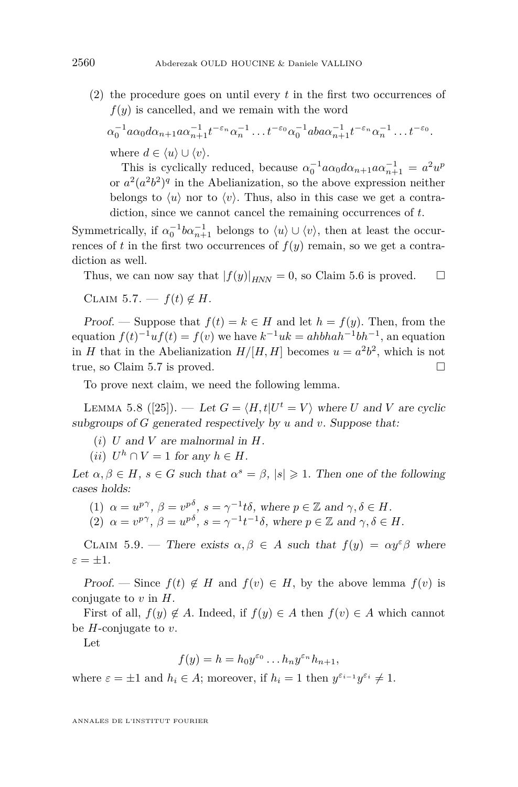(2) the procedure goes on until every *t* in the first two occurrences of  $f(y)$  is cancelled, and we remain with the word

 $\alpha_0^{-1}a\alpha_0d\alpha_{n+1}a\alpha_{n+1}^{-1}t^{-\varepsilon_n}\alpha_n^{-1}\ldots t^{-\varepsilon_0}\alpha_0^{-1}aba\alpha_{n+1}^{-1}t^{-\varepsilon_n}\alpha_n^{-1}\ldots t^{-\varepsilon_0}.$ where  $d \in \langle u \rangle \cup \langle v \rangle$ .

This is cyclically reduced, because  $\alpha_0^{-1} a \alpha_0 d \alpha_{n+1} a \alpha_{n+1}^{-1} = a^2 u^p$ or  $a^2(a^2b^2)^q$  in the Abelianization, so the above expression neither belongs to  $\langle u \rangle$  nor to  $\langle v \rangle$ . Thus, also in this case we get a contradiction, since we cannot cancel the remaining occurrences of *t*.

Symmetrically, if  $\alpha_0^{-1}b\alpha_{n+1}^{-1}$  belongs to  $\langle u \rangle \cup \langle v \rangle$ , then at least the occurrences of  $t$  in the first two occurrences of  $f(y)$  remain, so we get a contradiction as well.

Thus, we can now say that  $|f(y)|_{HNN} = 0$ , so Claim [5.6](#page-34-3) is proved.  $\square$ 

<span id="page-36-0"></span>CLAIM 5.7. —  $f(t) \notin H$ .

Proof. — Suppose that  $f(t) = k \in H$  and let  $h = f(y)$ . Then, from the equation  $f(t)^{-1}uf(t) = f(v)$  we have  $k^{-1}uk = ahbhah^{-1}bh^{-1}$ , an equation in *H* that in the Abelianization  $H/[H, H]$  becomes  $u = a^2b^2$ , which is not true, so Claim [5.7](#page-36-0) is proved.

To prove next claim, we need the following lemma.

<span id="page-36-2"></span>LEMMA 5.8 ([\[25\]](#page-38-10)). — Let  $G = \langle H, t | U^t = V \rangle$  where *U* and *V* are cyclic subgroups of *G* generated respectively by *u* and *v*. Suppose that:

- (*i*) *U* and *V* are malnormal in *H*.
- (*ii*)  $U^h \cap V = 1$  for any  $h \in H$ .

Let  $\alpha, \beta \in H$ ,  $s \in G$  such that  $\alpha^s = \beta$ ,  $|s| \geq 1$ . Then one of the following cases holds:

- (1)  $\alpha = u^{p\gamma}, \ \beta = v^{p\delta}, \ s = \gamma^{-1}t\delta, \text{ where } p \in \mathbb{Z} \text{ and } \gamma, \delta \in H.$
- (2)  $\alpha = v^{p\gamma}, \ \beta = u^{p\delta}, \ s = \gamma^{-1}t^{-1}\delta, \text{ where } p \in \mathbb{Z} \text{ and } \gamma, \delta \in H.$

<span id="page-36-1"></span>CLAIM 5.9. — There exists  $\alpha, \beta \in A$  such that  $f(y) = \alpha y^{\varepsilon} \beta$  where  $\varepsilon = \pm 1$ .

Proof. — Since  $f(t) \notin H$  and  $f(v) \in H$ , by the above lemma  $f(v)$  is conjugate to *v* in *H*.

First of all,  $f(y) \notin A$ . Indeed, if  $f(y) \in A$  then  $f(v) \in A$  which cannot be *H*-conjugate to *v*.

Let

$$
f(y) = h = h_0 y^{\varepsilon_0} \dots h_n y^{\varepsilon_n} h_{n+1},
$$

where  $\varepsilon = \pm 1$  and  $h_i \in A$ ; moreover, if  $h_i = 1$  then  $y^{\varepsilon_{i-1}}y^{\varepsilon_i} \neq 1$ .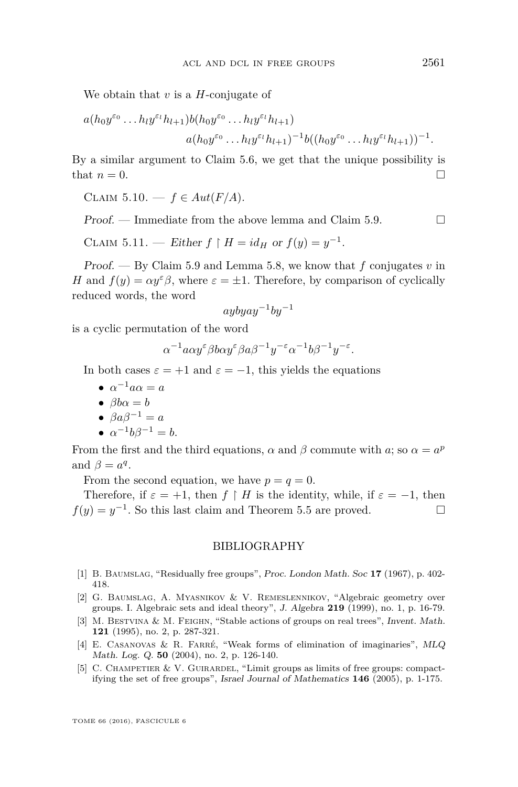We obtain that *v* is a *H*-conjugate of

$$
a(h_0y^{\varepsilon_0}\dots h_ly^{\varepsilon_l}h_{l+1})b(h_0y^{\varepsilon_0}\dots h_ly^{\varepsilon_l}h_{l+1})
$$
  
 $a(h_0y^{\varepsilon_0}\dots h_ly^{\varepsilon_l}h_{l+1})^{-1}b((h_0y^{\varepsilon_0}\dots h_ly^{\varepsilon_l}h_{l+1}))^{-1}.$ 

By a similar argument to Claim [5.6,](#page-34-3) we get that the unique possibility is that  $n = 0$ .

CLAIM  $5.10. - f \in Aut(F/A)$ .

Proof. — Immediate from the above lemma and Claim [5.9.](#page-36-1)  $\Box$ 

CLAIM 5.11. — Either  $f \upharpoonright H = id_H$  or  $f(y) = y^{-1}$ .

Proof. — By Claim [5.9](#page-36-1) and Lemma [5.8,](#page-36-2) we know that *f* conjugates *v* in *H* and  $f(y) = \alpha y^{\varepsilon} \beta$ , where  $\varepsilon = \pm 1$ . Therefore, by comparison of cyclically reduced words, the word

$$
aybyay^{-1}by^{-1}
$$

is a cyclic permutation of the word

$$
\alpha^{-1}a\alpha y^{\varepsilon}\beta b\alpha y^{\varepsilon}\beta a\beta^{-1}y^{-\varepsilon}\alpha^{-1}b\beta^{-1}y^{-\varepsilon}.
$$

In both cases  $\varepsilon = +1$  and  $\varepsilon = -1$ , this yields the equations

- $\alpha^{-1}a\alpha = a$
- $\beta b\alpha = b$
- $\theta \cdot \beta a \beta^{-1} = a$
- $\alpha^{-1}b\beta^{-1} = b.$

From the first and the third equations,  $\alpha$  and  $\beta$  commute with *a*; so  $\alpha = a^p$ and  $\beta = a^q$ .

From the second equation, we have  $p = q = 0$ .

Therefore, if  $\varepsilon = +1$ , then  $f \restriction H$  is the identity, while, if  $\varepsilon = -1$ , then  $f(y) = y^{-1}$ . So this last claim and Theorem [5.5](#page-33-0) are proved.

#### BIBLIOGRAPHY

- <span id="page-37-1"></span>[1] B. Baumslag, "Residually free groups", Proc. London Math. Soc **17** (1967), p. 402- 418.
- <span id="page-37-4"></span>[2] G. Baumslag, A. Myasnikov & V. Remeslennikov, "Algebraic geometry over groups. I. Algebraic sets and ideal theory", J. Algebra **219** (1999), no. 1, p. 16-79.
- <span id="page-37-2"></span>[3] M. Bestvina & M. Feighn, "Stable actions of groups on real trees", Invent. Math. **121** (1995), no. 2, p. 287-321.
- <span id="page-37-0"></span>[4] E. Casanovas & R. Farré, "Weak forms of elimination of imaginaries", MLQ Math. Log. Q. **50** (2004), no. 2, p. 126-140.
- <span id="page-37-3"></span>[5] C. CHAMPETIER  $&\vee$ . GUIRARDEL, "Limit groups as limits of free groups: compactifying the set of free groups", Israel Journal of Mathematics **146** (2005), p. 1-175.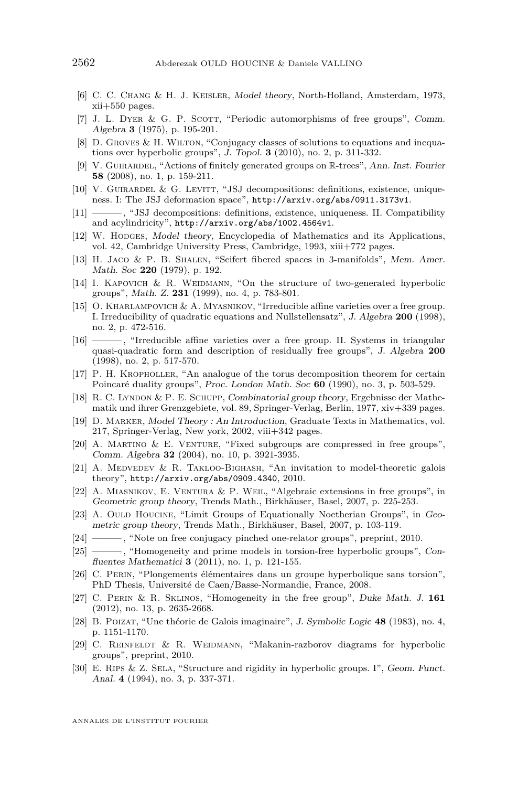- <span id="page-38-9"></span>[6] C. C. Chang & H. J. Keisler, Model theory, North-Holland, Amsterdam, 1973, xii+550 pages.
- <span id="page-38-24"></span>[7] J. L. DYER & G. P. SCOTT, "Periodic automorphisms of free groups", Comm. Algebra **3** (1975), p. 195-201.
- <span id="page-38-15"></span>[8] D. GROVES & H. WILTON, "Conjugacy classes of solutions to equations and inequations over hyperbolic groups", J. Topol. **3** (2010), no. 2, p. 311-332.
- <span id="page-38-18"></span>[9] V. Guirardel, "Actions of finitely generated groups on R-trees", Ann. Inst. Fourier **58** (2008), no. 1, p. 159-211.
- <span id="page-38-6"></span>[10] V. GUIRARDEL & G. LEVITT, "JSJ decompositions: definitions, existence, uniqueness. I: The JSJ deformation space", <http://arxiv.org/abs/0911.3173v1>.
- <span id="page-38-20"></span>[11] ——— , "JSJ decompositions: definitions, existence, uniqueness. II. Compatibility and acylindricity", <http://arxiv.org/abs/1002.4564v1>.
- <span id="page-38-8"></span>[12] W. Hopges, Model theory, Encyclopedia of Mathematics and its Applications, vol. 42, Cambridge University Press, Cambridge, 1993, xiii+772 pages.
- <span id="page-38-4"></span>[13] H. Jaco & P. B. Shalen, "Seifert fibered spaces in 3-manifolds", Mem. Amer. Math. Soc **220** (1979), p. 192.
- <span id="page-38-22"></span>[14] I. KAPOVICH & R. WEIDMANN, "On the structure of two-generated hyperbolic groups", Math. Z. **231** (1999), no. 4, p. 783-801.
- <span id="page-38-12"></span>[15] O. Kharlampovich & A. Myasnikov, "Irreducible affine varieties over a free group. I. Irreducibility of quadratic equations and Nullstellensatz", J. Algebra **200** (1998), no. 2, p. 472-516.
- <span id="page-38-13"></span>[16] ——— , "Irreducible affine varieties over a free group. II. Systems in triangular quasi-quadratic form and description of residually free groups", J. Algebra **200** (1998), no. 2, p. 517-570.
- <span id="page-38-5"></span>[17] P. H. Kropholler, "An analogue of the torus decomposition theorem for certain Poincaré duality groups", Proc. London Math. Soc **60** (1990), no. 3, p. 503-529.
- <span id="page-38-23"></span>[18] R. C. Lyndon & P. E. Schupp, Combinatorial group theory, Ergebnisse der Mathematik und ihrer Grenzgebiete, vol. 89, Springer-Verlag, Berlin, 1977, xiv+339 pages.
- <span id="page-38-0"></span>[19] D. Marker, Model Theory : An Introduction, Graduate Texts in Mathematics, vol. 217, Springer-Verlag, New york, 2002, viii+342 pages.
- <span id="page-38-7"></span>[20] A. Martino & E. Venture, "Fixed subgroups are compressed in free groups", Comm. Algebra **32** (2004), no. 10, p. 3921-3935.
- <span id="page-38-2"></span>[21] A. MEDVEDEV & R. TAKLOO-BIGHASH, "An invitation to model-theoretic galois theory", <http://arxiv.org/abs/0909.4340>, 2010.
- <span id="page-38-3"></span>[22] A. Miasnikov, E. Ventura & P. Weil, "Algebraic extensions in free groups", in Geometric group theory, Trends Math., Birkhäuser, Basel, 2007, p. 225-253.
- <span id="page-38-14"></span>[23] A. OULD HOUCINE, "Limit Groups of Equationally Noetherian Groups", in Geometric group theory, Trends Math., Birkhäuser, Basel, 2007, p. 103-119.
- <span id="page-38-21"></span>[24] ——— , "Note on free conjugacy pinched one-relator groups", preprint, 2010.
- <span id="page-38-10"></span>[25] ———, "Homogeneity and prime models in torsion-free hyperbolic groups", Confluentes Mathematici **3** (2011), no. 1, p. 121-155.
- <span id="page-38-16"></span>[26] C. Perin, "Plongements élémentaires dans un groupe hyperbolique sans torsion", PhD Thesis, Université de Caen/Basse-Normandie, France, 2008.
- <span id="page-38-11"></span>[27] C. Perin & R. Sklinos, "Homogeneity in the free group", Duke Math. J. **161** (2012), no. 13, p. 2635-2668.
- <span id="page-38-1"></span>[28] B. Poizat, "Une théorie de Galois imaginaire", J. Symbolic Logic **48** (1983), no. 4, p. 1151-1170.
- <span id="page-38-19"></span>[29] C. REINFELDT & R. WEIDMANN, "Makanin-razborov diagrams for hyperbolic groups", preprint, 2010.
- <span id="page-38-17"></span>[30] E. Rips & Z. Sela, "Structure and rigidity in hyperbolic groups. I", Geom. Funct. Anal. **4** (1994), no. 3, p. 337-371.